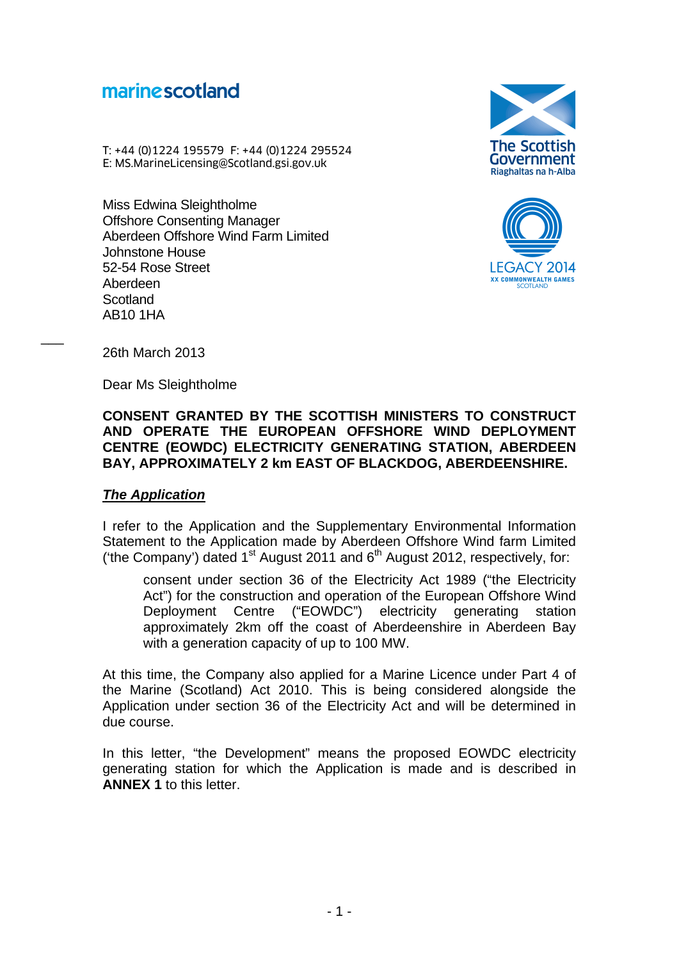# marine scotland

T: +44 (0)1224 195579 F: +44 (0)1224 295524 **marine scotland<br>
T: +44 (0)1224 195579 F: +44 (0)1224 295524<br>
E: MS.MarineLicensing@Scotland.gsi.gov.uk f** 

Miss Edwina Sleightholme Offshore Consenting Manager Aberdeen Offshore Wind Farm Limited Johnstone House 52-54 Rose Street Aberdeen **Scotland** AB10 1HA





26th March 2013

 $\overline{\phantom{a}}$ 

Dear Ms Sleightholme

## **CONSENT GRANTED BY THE SCOTTISH MINISTERS TO CONSTRUCT AND OPERATE THE EUROPEAN OFFSHORE WIND DEPLOYMENT CENTRE (EOWDC) ELECTRICITY GENERATING STATION, ABERDEEN BAY, APPROXIMATELY 2 km EAST OF BLACKDOG, ABERDEENSHIRE.**

## *The Application*

I refer to the Application and the Supplementary Environmental Information Statement to the Application made by Aberdeen Offshore Wind farm Limited ('the Company') dated  $1<sup>st</sup>$  August 2011 and  $6<sup>th</sup>$  August 2012, respectively, for:

consent under section 36 of the Electricity Act 1989 ("the Electricity Act") for the construction and operation of the European Offshore Wind Deployment Centre ("EOWDC") electricity generating station approximately 2km off the coast of Aberdeenshire in Aberdeen Bay with a generation capacity of up to 100 MW.

At this time, the Company also applied for a Marine Licence under Part 4 of the Marine (Scotland) Act 2010. This is being considered alongside the Application under section 36 of the Electricity Act and will be determined in due course.

In this letter, "the Development" means the proposed EOWDC electricity generating station for which the Application is made and is described in **ANNEX 1** to this letter.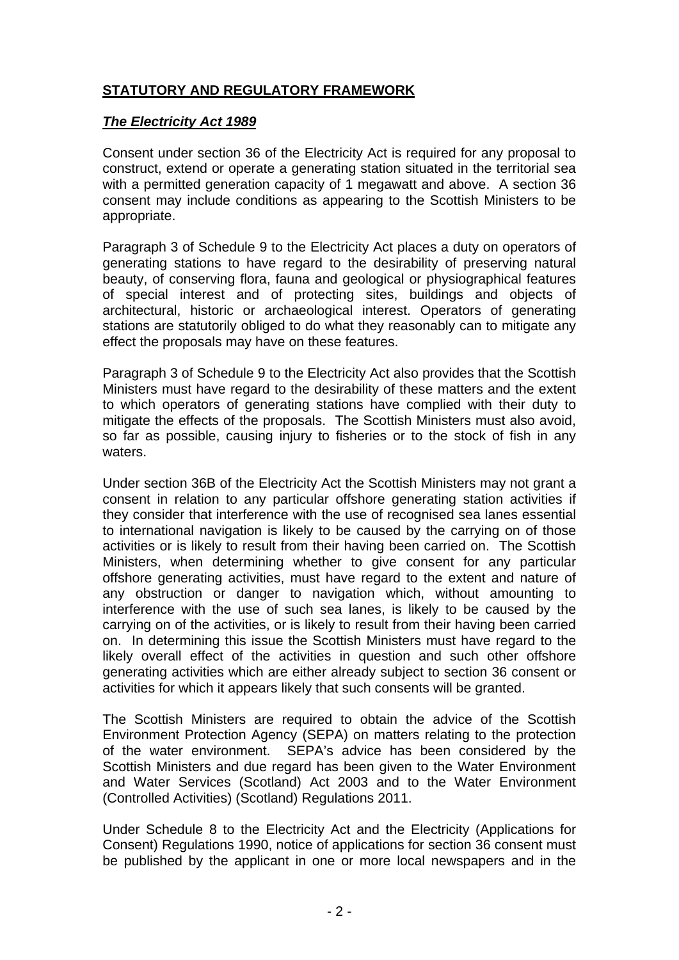# **STATUTORY AND REGULATORY FRAMEWORK**

## *The Electricity Act 1989*

Consent under section 36 of the Electricity Act is required for any proposal to construct, extend or operate a generating station situated in the territorial sea with a permitted generation capacity of 1 megawatt and above. A section 36 consent may include conditions as appearing to the Scottish Ministers to be appropriate.

Paragraph 3 of Schedule 9 to the Electricity Act places a duty on operators of generating stations to have regard to the desirability of preserving natural beauty, of conserving flora, fauna and geological or physiographical features of special interest and of protecting sites, buildings and objects of architectural, historic or archaeological interest. Operators of generating stations are statutorily obliged to do what they reasonably can to mitigate any effect the proposals may have on these features.

Paragraph 3 of Schedule 9 to the Electricity Act also provides that the Scottish Ministers must have regard to the desirability of these matters and the extent to which operators of generating stations have complied with their duty to mitigate the effects of the proposals. The Scottish Ministers must also avoid, so far as possible, causing injury to fisheries or to the stock of fish in any waters.

Under section 36B of the Electricity Act the Scottish Ministers may not grant a consent in relation to any particular offshore generating station activities if they consider that interference with the use of recognised sea lanes essential to international navigation is likely to be caused by the carrying on of those activities or is likely to result from their having been carried on. The Scottish Ministers, when determining whether to give consent for any particular offshore generating activities, must have regard to the extent and nature of any obstruction or danger to navigation which, without amounting to interference with the use of such sea lanes, is likely to be caused by the carrying on of the activities, or is likely to result from their having been carried on. In determining this issue the Scottish Ministers must have regard to the likely overall effect of the activities in question and such other offshore generating activities which are either already subject to section 36 consent or activities for which it appears likely that such consents will be granted.

The Scottish Ministers are required to obtain the advice of the Scottish Environment Protection Agency (SEPA) on matters relating to the protection of the water environment. SEPA's advice has been considered by the Scottish Ministers and due regard has been given to the Water Environment and Water Services (Scotland) Act 2003 and to the Water Environment (Controlled Activities) (Scotland) Regulations 2011.

Under Schedule 8 to the Electricity Act and the Electricity (Applications for Consent) Regulations 1990, notice of applications for section 36 consent must be published by the applicant in one or more local newspapers and in the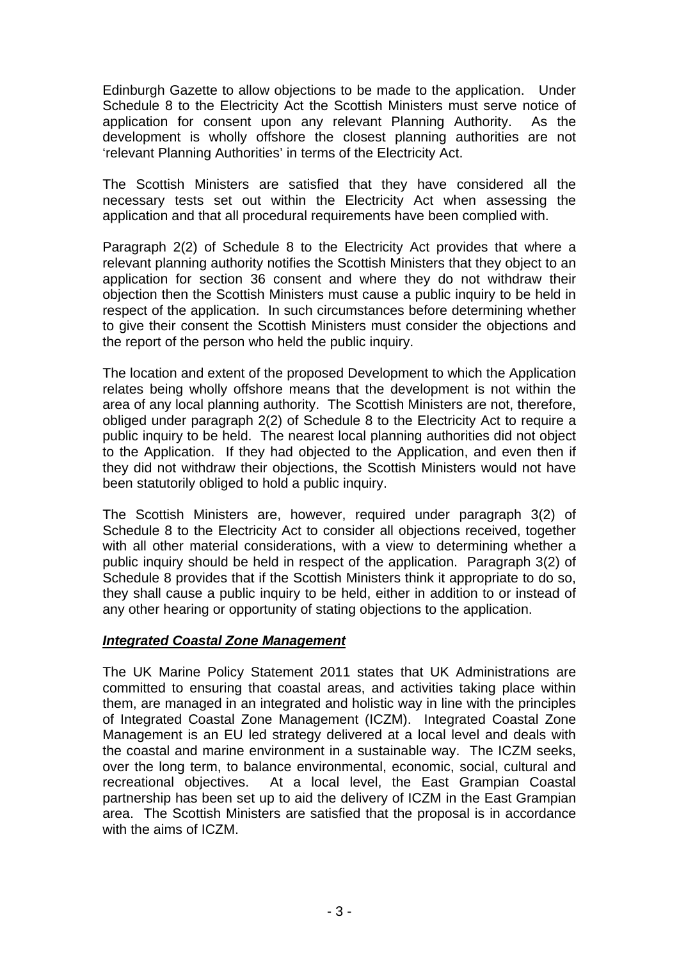Edinburgh Gazette to allow objections to be made to the application. Under Schedule 8 to the Electricity Act the Scottish Ministers must serve notice of application for consent upon any relevant Planning Authority. As the development is wholly offshore the closest planning authorities are not 'relevant Planning Authorities' in terms of the Electricity Act.

The Scottish Ministers are satisfied that they have considered all the necessary tests set out within the Electricity Act when assessing the application and that all procedural requirements have been complied with.

Paragraph 2(2) of Schedule 8 to the Electricity Act provides that where a relevant planning authority notifies the Scottish Ministers that they object to an application for section 36 consent and where they do not withdraw their objection then the Scottish Ministers must cause a public inquiry to be held in respect of the application. In such circumstances before determining whether to give their consent the Scottish Ministers must consider the objections and the report of the person who held the public inquiry.

The location and extent of the proposed Development to which the Application relates being wholly offshore means that the development is not within the area of any local planning authority. The Scottish Ministers are not, therefore, obliged under paragraph 2(2) of Schedule 8 to the Electricity Act to require a public inquiry to be held. The nearest local planning authorities did not object to the Application. If they had objected to the Application, and even then if they did not withdraw their objections, the Scottish Ministers would not have been statutorily obliged to hold a public inquiry.

The Scottish Ministers are, however, required under paragraph 3(2) of Schedule 8 to the Electricity Act to consider all objections received, together with all other material considerations, with a view to determining whether a public inquiry should be held in respect of the application. Paragraph 3(2) of Schedule 8 provides that if the Scottish Ministers think it appropriate to do so, they shall cause a public inquiry to be held, either in addition to or instead of any other hearing or opportunity of stating objections to the application.

## *Integrated Coastal Zone Management*

The UK Marine Policy Statement 2011 states that UK Administrations are committed to ensuring that coastal areas, and activities taking place within them, are managed in an integrated and holistic way in line with the principles of Integrated Coastal Zone Management (ICZM). Integrated Coastal Zone Management is an EU led strategy delivered at a local level and deals with the coastal and marine environment in a sustainable way. The ICZM seeks, over the long term, to balance environmental, economic, social, cultural and recreational objectives. At a local level, the East Grampian Coastal partnership has been set up to aid the delivery of ICZM in the East Grampian area. The Scottish Ministers are satisfied that the proposal is in accordance with the aims of ICZM.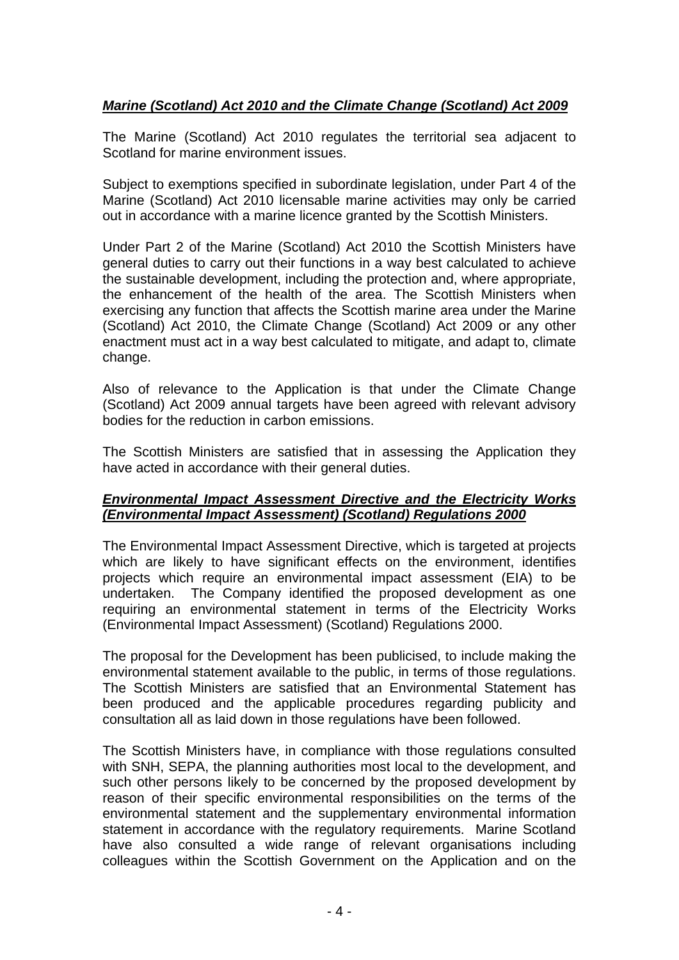## *Marine (Scotland) Act 2010 and the Climate Change (Scotland) Act 2009*

The Marine (Scotland) Act 2010 regulates the territorial sea adjacent to Scotland for marine environment issues.

Subject to exemptions specified in subordinate legislation, under Part 4 of the Marine (Scotland) Act 2010 licensable marine activities may only be carried out in accordance with a marine licence granted by the Scottish Ministers.

Under Part 2 of the Marine (Scotland) Act 2010 the Scottish Ministers have general duties to carry out their functions in a way best calculated to achieve the sustainable development, including the protection and, where appropriate, the enhancement of the health of the area. The Scottish Ministers when exercising any function that affects the Scottish marine area under the Marine (Scotland) Act 2010, the Climate Change (Scotland) Act 2009 or any other enactment must act in a way best calculated to mitigate, and adapt to, climate change.

Also of relevance to the Application is that under the Climate Change (Scotland) Act 2009 annual targets have been agreed with relevant advisory bodies for the reduction in carbon emissions.

The Scottish Ministers are satisfied that in assessing the Application they have acted in accordance with their general duties.

## *Environmental Impact Assessment Directive and the Electricity Works (Environmental Impact Assessment) (Scotland) Regulations 2000*

The Environmental Impact Assessment Directive, which is targeted at projects which are likely to have significant effects on the environment, identifies projects which require an environmental impact assessment (EIA) to be undertaken. The Company identified the proposed development as one requiring an environmental statement in terms of the Electricity Works (Environmental Impact Assessment) (Scotland) Regulations 2000.

The proposal for the Development has been publicised, to include making the environmental statement available to the public, in terms of those regulations. The Scottish Ministers are satisfied that an Environmental Statement has been produced and the applicable procedures regarding publicity and consultation all as laid down in those regulations have been followed.

The Scottish Ministers have, in compliance with those regulations consulted with SNH, SEPA, the planning authorities most local to the development, and such other persons likely to be concerned by the proposed development by reason of their specific environmental responsibilities on the terms of the environmental statement and the supplementary environmental information statement in accordance with the regulatory requirements. Marine Scotland have also consulted a wide range of relevant organisations including colleagues within the Scottish Government on the Application and on the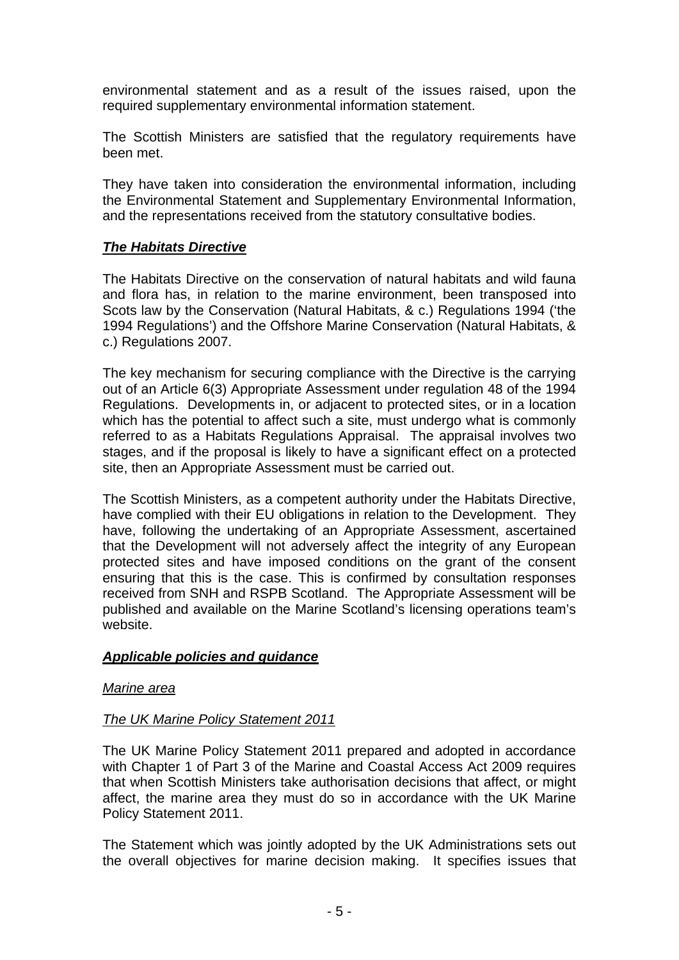environmental statement and as a result of the issues raised, upon the required supplementary environmental information statement.

The Scottish Ministers are satisfied that the regulatory requirements have been met.

They have taken into consideration the environmental information, including the Environmental Statement and Supplementary Environmental Information, and the representations received from the statutory consultative bodies.

## *The Habitats Directive*

The Habitats Directive on the conservation of natural habitats and wild fauna and flora has, in relation to the marine environment, been transposed into Scots law by the Conservation (Natural Habitats, & c.) Regulations 1994 ('the 1994 Regulations') and the Offshore Marine Conservation (Natural Habitats, & c.) Regulations 2007.

The key mechanism for securing compliance with the Directive is the carrying out of an Article 6(3) Appropriate Assessment under regulation 48 of the 1994 Regulations. Developments in, or adjacent to protected sites, or in a location which has the potential to affect such a site, must undergo what is commonly referred to as a Habitats Regulations Appraisal. The appraisal involves two stages, and if the proposal is likely to have a significant effect on a protected site, then an Appropriate Assessment must be carried out.

The Scottish Ministers, as a competent authority under the Habitats Directive, have complied with their EU obligations in relation to the Development. They have, following the undertaking of an Appropriate Assessment, ascertained that the Development will not adversely affect the integrity of any European protected sites and have imposed conditions on the grant of the consent ensuring that this is the case. This is confirmed by consultation responses received from SNH and RSPB Scotland. The Appropriate Assessment will be published and available on the Marine Scotland's licensing operations team's website.

## *Applicable policies and guidance*

## *Marine area*

## *The UK Marine Policy Statement 2011*

The UK Marine Policy Statement 2011 prepared and adopted in accordance with Chapter 1 of Part 3 of the Marine and Coastal Access Act 2009 requires that when Scottish Ministers take authorisation decisions that affect, or might affect, the marine area they must do so in accordance with the UK Marine Policy Statement 2011.

The Statement which was jointly adopted by the UK Administrations sets out the overall objectives for marine decision making. It specifies issues that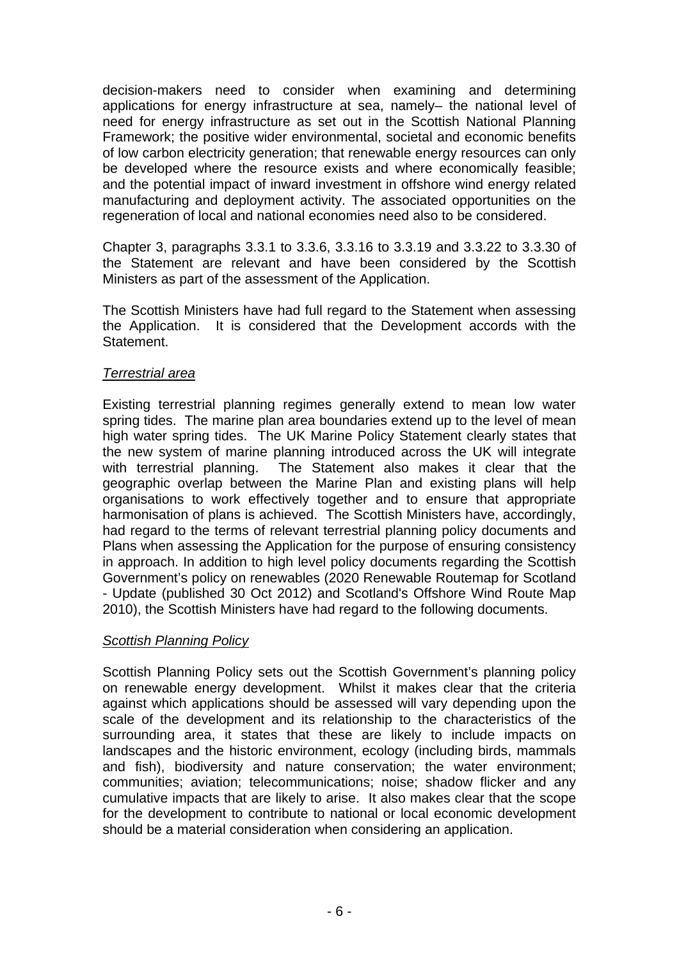decision-makers need to consider when examining and determining applications for energy infrastructure at sea, namely– the national level of need for energy infrastructure as set out in the Scottish National Planning Framework; the positive wider environmental, societal and economic benefits of low carbon electricity generation; that renewable energy resources can only be developed where the resource exists and where economically feasible; and the potential impact of inward investment in offshore wind energy related manufacturing and deployment activity. The associated opportunities on the regeneration of local and national economies need also to be considered.

Chapter 3, paragraphs 3.3.1 to 3.3.6, 3.3.16 to 3.3.19 and 3.3.22 to 3.3.30 of the Statement are relevant and have been considered by the Scottish Ministers as part of the assessment of the Application.

The Scottish Ministers have had full regard to the Statement when assessing the Application. It is considered that the Development accords with the Statement.

#### *Terrestrial area*

Existing terrestrial planning regimes generally extend to mean low water spring tides. The marine plan area boundaries extend up to the level of mean high water spring tides. The UK Marine Policy Statement clearly states that the new system of marine planning introduced across the UK will integrate with terrestrial planning. The Statement also makes it clear that the geographic overlap between the Marine Plan and existing plans will help organisations to work effectively together and to ensure that appropriate harmonisation of plans is achieved. The Scottish Ministers have, accordingly, had regard to the terms of relevant terrestrial planning policy documents and Plans when assessing the Application for the purpose of ensuring consistency in approach. In addition to high level policy documents regarding the Scottish Government's policy on renewables (2020 Renewable Routemap for Scotland - Update (published 30 Oct 2012) and Scotland's Offshore Wind Route Map 2010), the Scottish Ministers have had regard to the following documents.

## *Scottish Planning Policy*

Scottish Planning Policy sets out the Scottish Government's planning policy on renewable energy development. Whilst it makes clear that the criteria against which applications should be assessed will vary depending upon the scale of the development and its relationship to the characteristics of the surrounding area, it states that these are likely to include impacts on landscapes and the historic environment, ecology (including birds, mammals and fish), biodiversity and nature conservation; the water environment; communities; aviation; telecommunications; noise; shadow flicker and any cumulative impacts that are likely to arise. It also makes clear that the scope for the development to contribute to national or local economic development should be a material consideration when considering an application.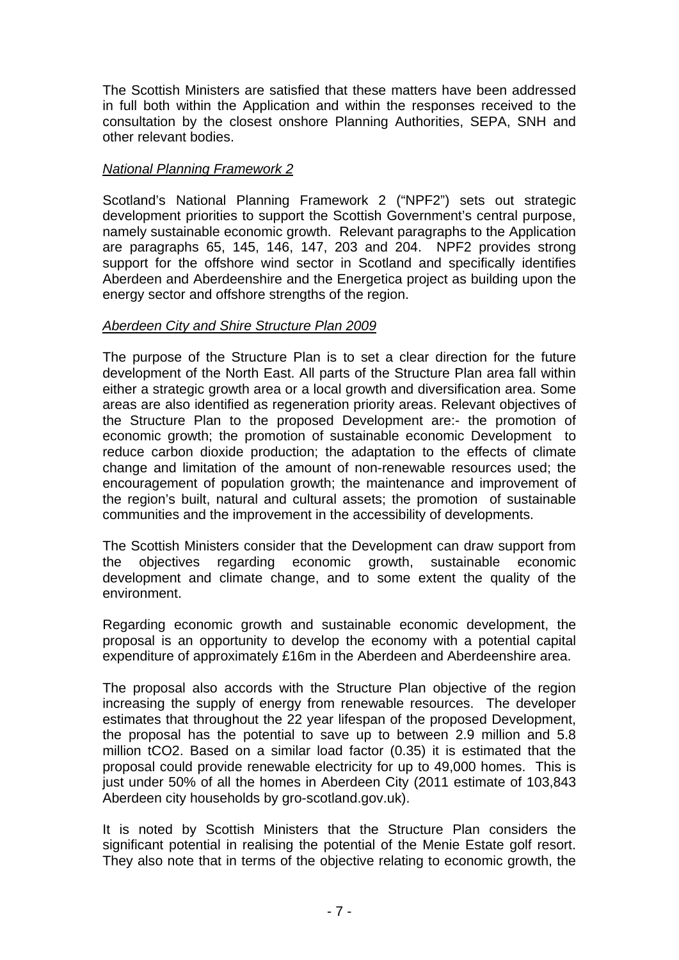The Scottish Ministers are satisfied that these matters have been addressed in full both within the Application and within the responses received to the consultation by the closest onshore Planning Authorities, SEPA, SNH and other relevant bodies.

## *National Planning Framework 2*

Scotland's National Planning Framework 2 ("NPF2") sets out strategic development priorities to support the Scottish Government's central purpose, namely sustainable economic growth. Relevant paragraphs to the Application are paragraphs 65, 145, 146, 147, 203 and 204. NPF2 provides strong support for the offshore wind sector in Scotland and specifically identifies Aberdeen and Aberdeenshire and the Energetica project as building upon the energy sector and offshore strengths of the region.

## *Aberdeen City and Shire Structure Plan 2009*

The purpose of the Structure Plan is to set a clear direction for the future development of the North East. All parts of the Structure Plan area fall within either a strategic growth area or a local growth and diversification area. Some areas are also identified as regeneration priority areas. Relevant objectives of the Structure Plan to the proposed Development are:- the promotion of economic growth; the promotion of sustainable economic Development to reduce carbon dioxide production; the adaptation to the effects of climate change and limitation of the amount of non-renewable resources used; the encouragement of population growth; the maintenance and improvement of the region's built, natural and cultural assets; the promotion of sustainable communities and the improvement in the accessibility of developments.

The Scottish Ministers consider that the Development can draw support from the objectives regarding economic growth, sustainable economic development and climate change, and to some extent the quality of the environment.

Regarding economic growth and sustainable economic development, the proposal is an opportunity to develop the economy with a potential capital expenditure of approximately £16m in the Aberdeen and Aberdeenshire area.

The proposal also accords with the Structure Plan objective of the region increasing the supply of energy from renewable resources. The developer estimates that throughout the 22 year lifespan of the proposed Development, the proposal has the potential to save up to between 2.9 million and 5.8 million tCO2. Based on a similar load factor (0.35) it is estimated that the proposal could provide renewable electricity for up to 49,000 homes. This is just under 50% of all the homes in Aberdeen City (2011 estimate of 103,843 Aberdeen city households by gro-scotland.gov.uk).

It is noted by Scottish Ministers that the Structure Plan considers the significant potential in realising the potential of the Menie Estate golf resort. They also note that in terms of the objective relating to economic growth, the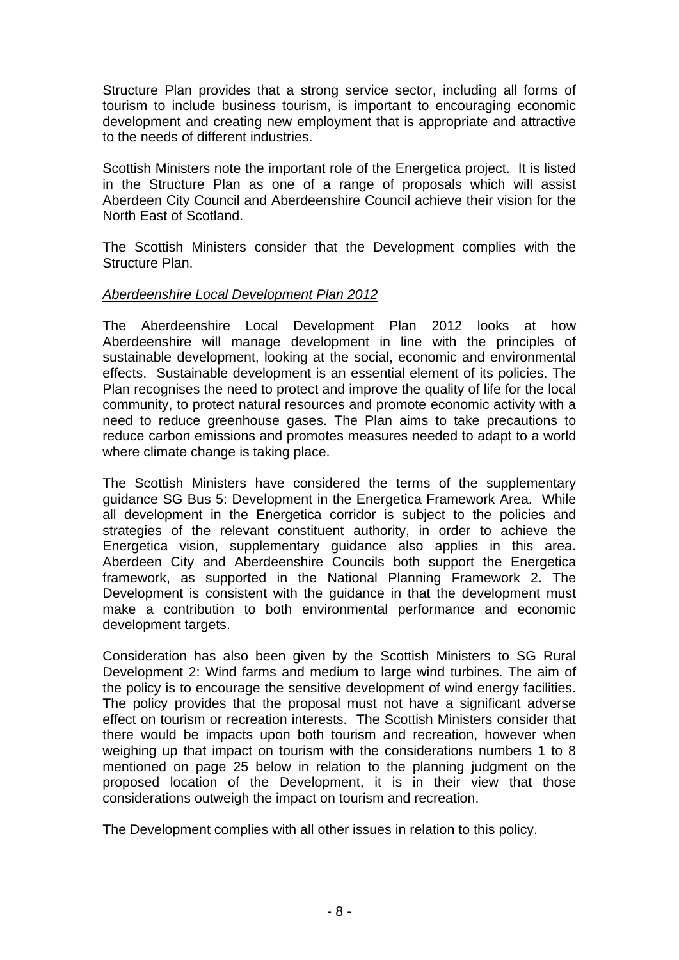Structure Plan provides that a strong service sector, including all forms of tourism to include business tourism, is important to encouraging economic development and creating new employment that is appropriate and attractive to the needs of different industries.

Scottish Ministers note the important role of the Energetica project. It is listed in the Structure Plan as one of a range of proposals which will assist Aberdeen City Council and Aberdeenshire Council achieve their vision for the North East of Scotland.

The Scottish Ministers consider that the Development complies with the Structure Plan.

## *Aberdeenshire Local Development Plan 2012*

The Aberdeenshire Local Development Plan 2012 looks at how Aberdeenshire will manage development in line with the principles of sustainable development, looking at the social, economic and environmental effects. Sustainable development is an essential element of its policies. The Plan recognises the need to protect and improve the quality of life for the local community, to protect natural resources and promote economic activity with a need to reduce greenhouse gases. The Plan aims to take precautions to reduce carbon emissions and promotes measures needed to adapt to a world where climate change is taking place.

The Scottish Ministers have considered the terms of the supplementary guidance SG Bus 5: Development in the Energetica Framework Area. While all development in the Energetica corridor is subject to the policies and strategies of the relevant constituent authority, in order to achieve the Energetica vision, supplementary guidance also applies in this area. Aberdeen City and Aberdeenshire Councils both support the Energetica framework, as supported in the National Planning Framework 2. The Development is consistent with the guidance in that the development must make a contribution to both environmental performance and economic development targets.

Consideration has also been given by the Scottish Ministers to SG Rural Development 2: Wind farms and medium to large wind turbines. The aim of the policy is to encourage the sensitive development of wind energy facilities. The policy provides that the proposal must not have a significant adverse effect on tourism or recreation interests. The Scottish Ministers consider that there would be impacts upon both tourism and recreation, however when weighing up that impact on tourism with the considerations numbers 1 to 8 mentioned on page 25 below in relation to the planning judgment on the proposed location of the Development, it is in their view that those considerations outweigh the impact on tourism and recreation.

The Development complies with all other issues in relation to this policy.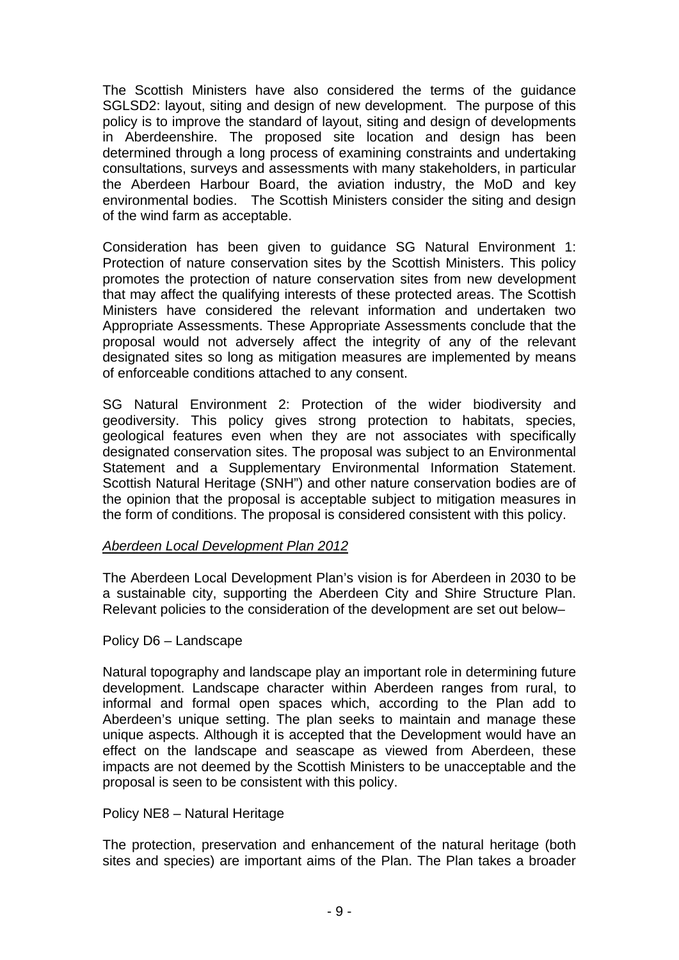The Scottish Ministers have also considered the terms of the guidance SGLSD2: layout, siting and design of new development. The purpose of this policy is to improve the standard of layout, siting and design of developments in Aberdeenshire. The proposed site location and design has been determined through a long process of examining constraints and undertaking consultations, surveys and assessments with many stakeholders, in particular the Aberdeen Harbour Board, the aviation industry, the MoD and key environmental bodies. The Scottish Ministers consider the siting and design of the wind farm as acceptable.

Consideration has been given to guidance SG Natural Environment 1: Protection of nature conservation sites by the Scottish Ministers. This policy promotes the protection of nature conservation sites from new development that may affect the qualifying interests of these protected areas. The Scottish Ministers have considered the relevant information and undertaken two Appropriate Assessments. These Appropriate Assessments conclude that the proposal would not adversely affect the integrity of any of the relevant designated sites so long as mitigation measures are implemented by means of enforceable conditions attached to any consent.

SG Natural Environment 2: Protection of the wider biodiversity and geodiversity. This policy gives strong protection to habitats, species, geological features even when they are not associates with specifically designated conservation sites. The proposal was subject to an Environmental Statement and a Supplementary Environmental Information Statement. Scottish Natural Heritage (SNH") and other nature conservation bodies are of the opinion that the proposal is acceptable subject to mitigation measures in the form of conditions. The proposal is considered consistent with this policy.

## *Aberdeen Local Development Plan 2012*

The Aberdeen Local Development Plan's vision is for Aberdeen in 2030 to be a sustainable city, supporting the Aberdeen City and Shire Structure Plan. Relevant policies to the consideration of the development are set out below–

#### Policy D6 – Landscape

Natural topography and landscape play an important role in determining future development. Landscape character within Aberdeen ranges from rural, to informal and formal open spaces which, according to the Plan add to Aberdeen's unique setting. The plan seeks to maintain and manage these unique aspects. Although it is accepted that the Development would have an effect on the landscape and seascape as viewed from Aberdeen, these impacts are not deemed by the Scottish Ministers to be unacceptable and the proposal is seen to be consistent with this policy.

## Policy NE8 – Natural Heritage

The protection, preservation and enhancement of the natural heritage (both sites and species) are important aims of the Plan. The Plan takes a broader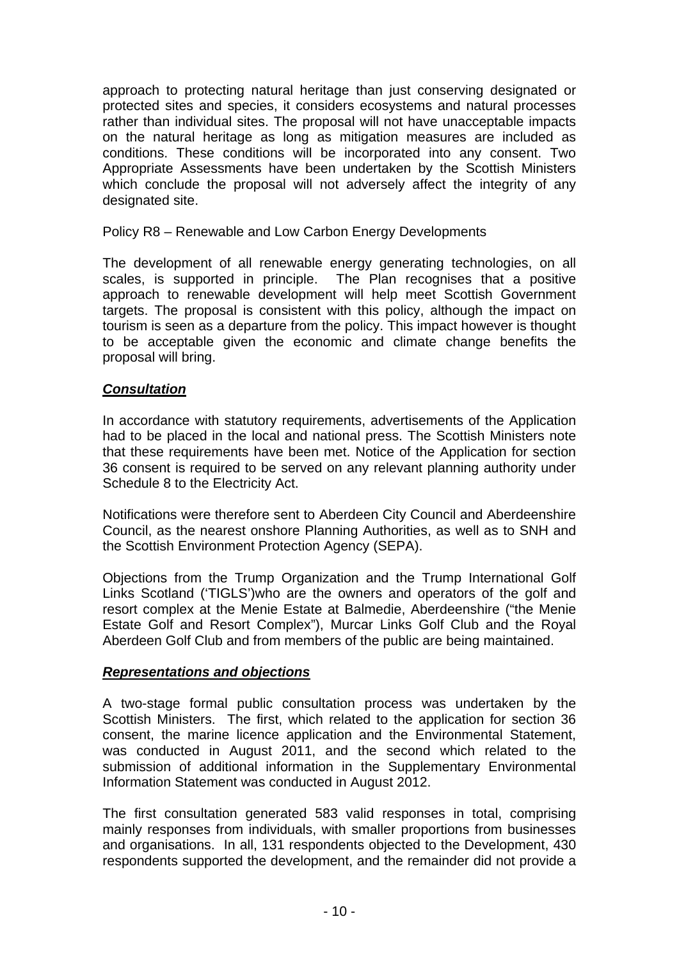approach to protecting natural heritage than just conserving designated or protected sites and species, it considers ecosystems and natural processes rather than individual sites. The proposal will not have unacceptable impacts on the natural heritage as long as mitigation measures are included as conditions. These conditions will be incorporated into any consent. Two Appropriate Assessments have been undertaken by the Scottish Ministers which conclude the proposal will not adversely affect the integrity of any designated site.

## Policy R8 – Renewable and Low Carbon Energy Developments

The development of all renewable energy generating technologies, on all scales, is supported in principle. The Plan recognises that a positive approach to renewable development will help meet Scottish Government targets. The proposal is consistent with this policy, although the impact on tourism is seen as a departure from the policy. This impact however is thought to be acceptable given the economic and climate change benefits the proposal will bring.

## *Consultation*

In accordance with statutory requirements, advertisements of the Application had to be placed in the local and national press. The Scottish Ministers note that these requirements have been met. Notice of the Application for section 36 consent is required to be served on any relevant planning authority under Schedule 8 to the Electricity Act.

Notifications were therefore sent to Aberdeen City Council and Aberdeenshire Council, as the nearest onshore Planning Authorities, as well as to SNH and the Scottish Environment Protection Agency (SEPA).

Objections from the Trump Organization and the Trump International Golf Links Scotland ('TIGLS')who are the owners and operators of the golf and resort complex at the Menie Estate at Balmedie, Aberdeenshire ("the Menie Estate Golf and Resort Complex"), Murcar Links Golf Club and the Royal Aberdeen Golf Club and from members of the public are being maintained.

## *Representations and objections*

A two-stage formal public consultation process was undertaken by the Scottish Ministers. The first, which related to the application for section 36 consent, the marine licence application and the Environmental Statement, was conducted in August 2011, and the second which related to the submission of additional information in the Supplementary Environmental Information Statement was conducted in August 2012.

The first consultation generated 583 valid responses in total, comprising mainly responses from individuals, with smaller proportions from businesses and organisations. In all, 131 respondents objected to the Development, 430 respondents supported the development, and the remainder did not provide a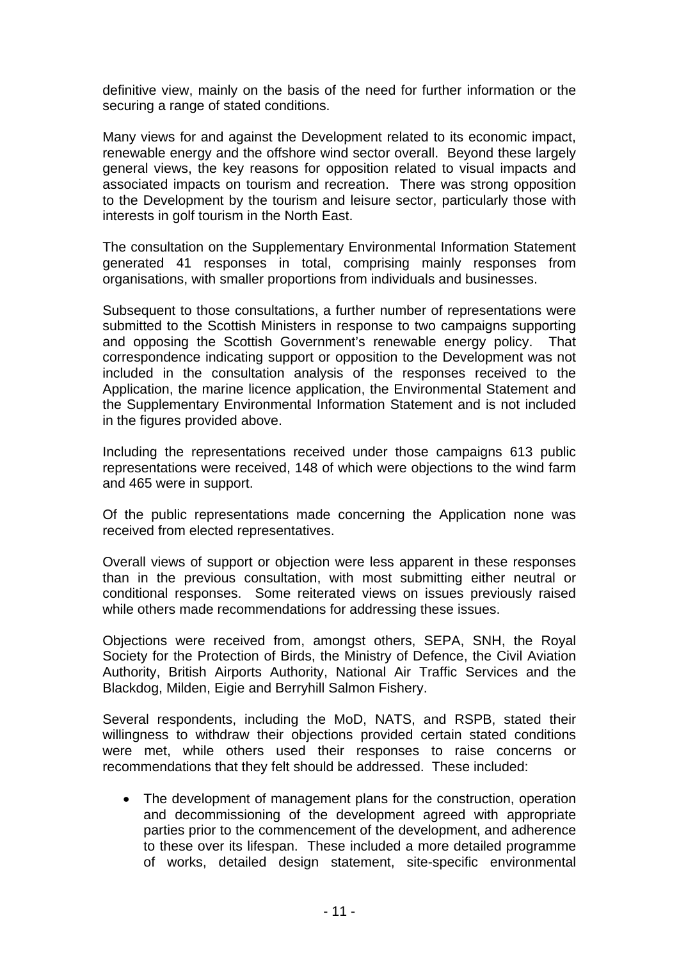definitive view, mainly on the basis of the need for further information or the securing a range of stated conditions.

Many views for and against the Development related to its economic impact, renewable energy and the offshore wind sector overall. Beyond these largely general views, the key reasons for opposition related to visual impacts and associated impacts on tourism and recreation. There was strong opposition to the Development by the tourism and leisure sector, particularly those with interests in golf tourism in the North East.

The consultation on the Supplementary Environmental Information Statement generated 41 responses in total, comprising mainly responses from organisations, with smaller proportions from individuals and businesses.

Subsequent to those consultations, a further number of representations were submitted to the Scottish Ministers in response to two campaigns supporting and opposing the Scottish Government's renewable energy policy. That correspondence indicating support or opposition to the Development was not included in the consultation analysis of the responses received to the Application, the marine licence application, the Environmental Statement and the Supplementary Environmental Information Statement and is not included in the figures provided above.

Including the representations received under those campaigns 613 public representations were received, 148 of which were objections to the wind farm and 465 were in support.

Of the public representations made concerning the Application none was received from elected representatives.

Overall views of support or objection were less apparent in these responses than in the previous consultation, with most submitting either neutral or conditional responses. Some reiterated views on issues previously raised while others made recommendations for addressing these issues.

Objections were received from, amongst others, SEPA, SNH, the Royal Society for the Protection of Birds, the Ministry of Defence, the Civil Aviation Authority, British Airports Authority, National Air Traffic Services and the Blackdog, Milden, Eigie and Berryhill Salmon Fishery.

Several respondents, including the MoD, NATS, and RSPB, stated their willingness to withdraw their objections provided certain stated conditions were met, while others used their responses to raise concerns or recommendations that they felt should be addressed. These included:

• The development of management plans for the construction, operation and decommissioning of the development agreed with appropriate parties prior to the commencement of the development, and adherence to these over its lifespan. These included a more detailed programme of works, detailed design statement, site-specific environmental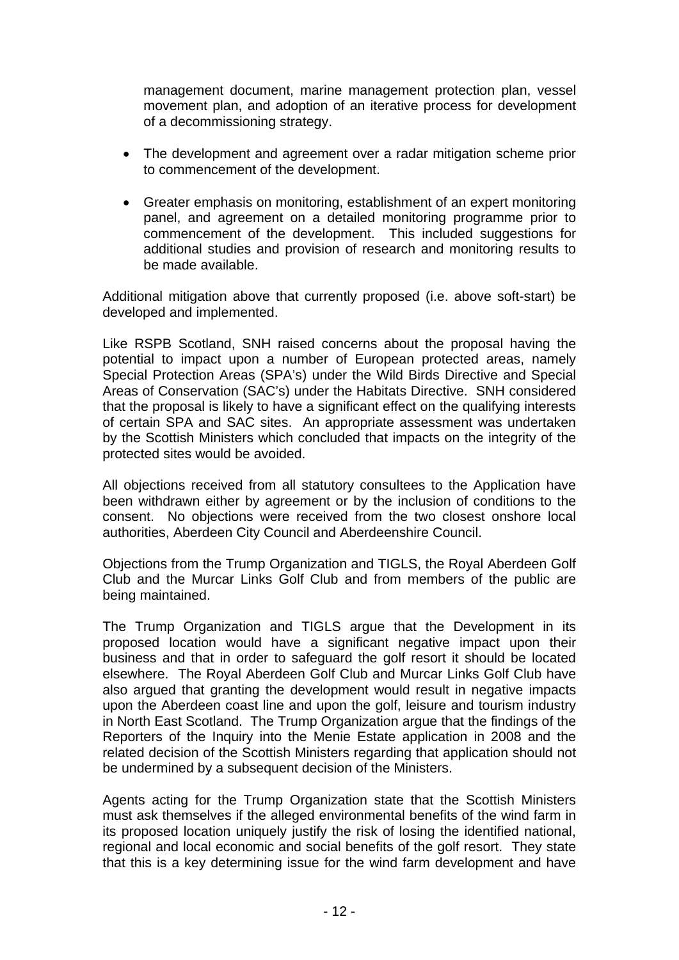management document, marine management protection plan, vessel movement plan, and adoption of an iterative process for development of a decommissioning strategy.

- The development and agreement over a radar mitigation scheme prior to commencement of the development.
- Greater emphasis on monitoring, establishment of an expert monitoring panel, and agreement on a detailed monitoring programme prior to commencement of the development. This included suggestions for additional studies and provision of research and monitoring results to be made available.

Additional mitigation above that currently proposed (i.e. above soft-start) be developed and implemented.

Like RSPB Scotland, SNH raised concerns about the proposal having the potential to impact upon a number of European protected areas, namely Special Protection Areas (SPA's) under the Wild Birds Directive and Special Areas of Conservation (SAC's) under the Habitats Directive. SNH considered that the proposal is likely to have a significant effect on the qualifying interests of certain SPA and SAC sites. An appropriate assessment was undertaken by the Scottish Ministers which concluded that impacts on the integrity of the protected sites would be avoided.

All objections received from all statutory consultees to the Application have been withdrawn either by agreement or by the inclusion of conditions to the consent. No objections were received from the two closest onshore local authorities, Aberdeen City Council and Aberdeenshire Council.

Objections from the Trump Organization and TIGLS, the Royal Aberdeen Golf Club and the Murcar Links Golf Club and from members of the public are being maintained.

The Trump Organization and TIGLS argue that the Development in its proposed location would have a significant negative impact upon their business and that in order to safeguard the golf resort it should be located elsewhere. The Royal Aberdeen Golf Club and Murcar Links Golf Club have also argued that granting the development would result in negative impacts upon the Aberdeen coast line and upon the golf, leisure and tourism industry in North East Scotland. The Trump Organization argue that the findings of the Reporters of the Inquiry into the Menie Estate application in 2008 and the related decision of the Scottish Ministers regarding that application should not be undermined by a subsequent decision of the Ministers.

Agents acting for the Trump Organization state that the Scottish Ministers must ask themselves if the alleged environmental benefits of the wind farm in its proposed location uniquely justify the risk of losing the identified national, regional and local economic and social benefits of the golf resort. They state that this is a key determining issue for the wind farm development and have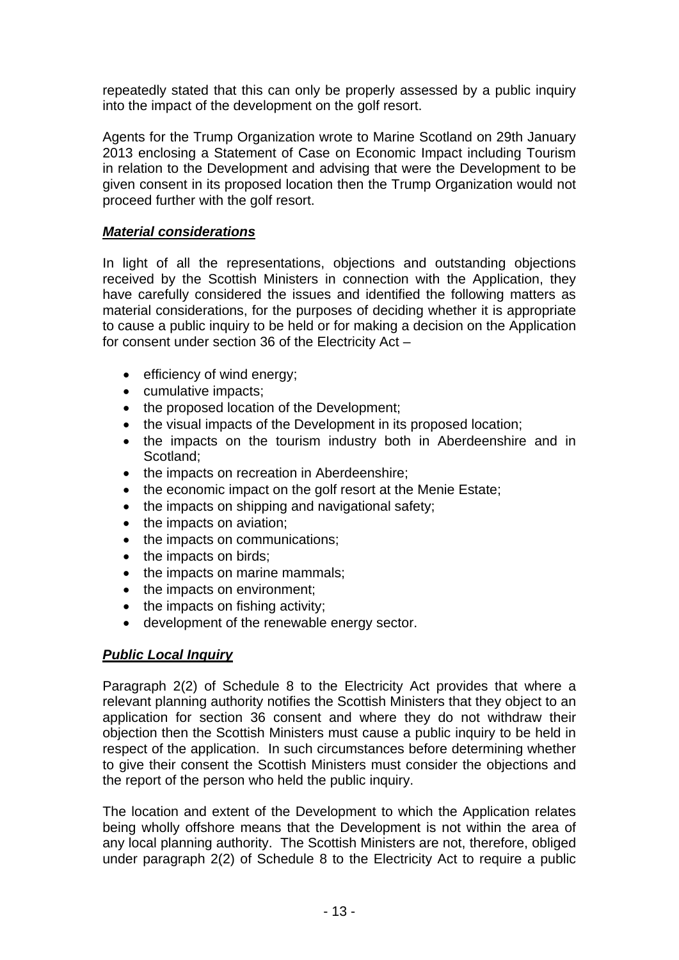repeatedly stated that this can only be properly assessed by a public inquiry into the impact of the development on the golf resort.

Agents for the Trump Organization wrote to Marine Scotland on 29th January 2013 enclosing a Statement of Case on Economic Impact including Tourism in relation to the Development and advising that were the Development to be given consent in its proposed location then the Trump Organization would not proceed further with the golf resort.

## *Material considerations*

In light of all the representations, objections and outstanding objections received by the Scottish Ministers in connection with the Application, they have carefully considered the issues and identified the following matters as material considerations, for the purposes of deciding whether it is appropriate to cause a public inquiry to be held or for making a decision on the Application for consent under section 36 of the Electricity Act –

- efficiency of wind energy;
- cumulative impacts;
- the proposed location of the Development;
- the visual impacts of the Development in its proposed location;
- the impacts on the tourism industry both in Aberdeenshire and in Scotland;
- the impacts on recreation in Aberdeenshire;
- the economic impact on the golf resort at the Menie Estate;
- the impacts on shipping and navigational safety;
- the impacts on aviation;
- the impacts on communications;
- the impacts on birds:
- the impacts on marine mammals;
- the impacts on environment;
- the impacts on fishing activity;
- development of the renewable energy sector.

## *Public Local Inquiry*

Paragraph 2(2) of Schedule 8 to the Electricity Act provides that where a relevant planning authority notifies the Scottish Ministers that they object to an application for section 36 consent and where they do not withdraw their objection then the Scottish Ministers must cause a public inquiry to be held in respect of the application. In such circumstances before determining whether to give their consent the Scottish Ministers must consider the objections and the report of the person who held the public inquiry.

The location and extent of the Development to which the Application relates being wholly offshore means that the Development is not within the area of any local planning authority. The Scottish Ministers are not, therefore, obliged under paragraph 2(2) of Schedule 8 to the Electricity Act to require a public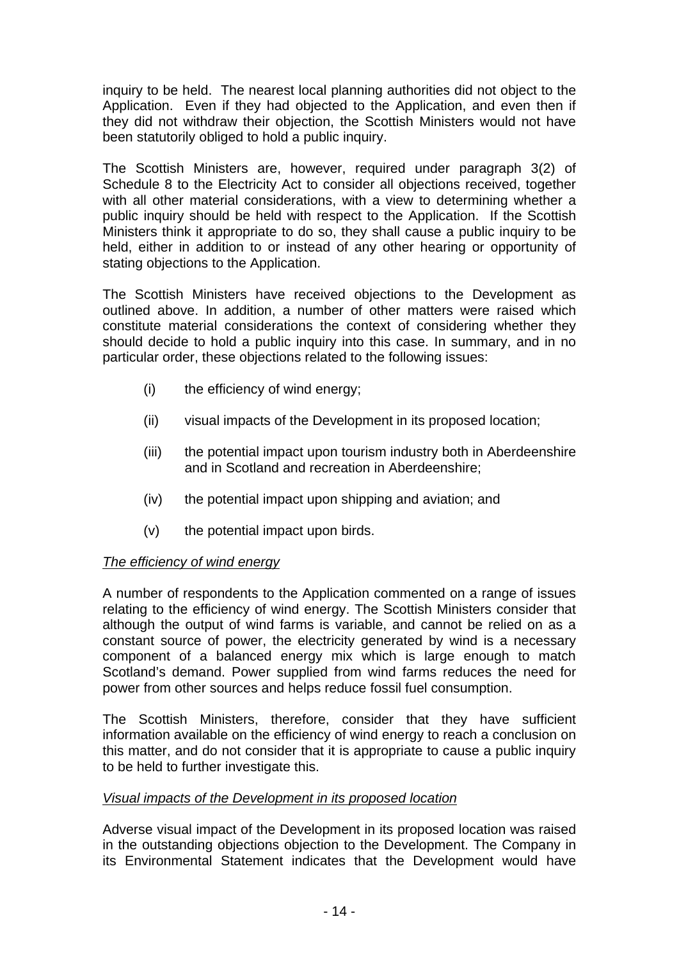inquiry to be held. The nearest local planning authorities did not object to the Application. Even if they had objected to the Application, and even then if they did not withdraw their objection, the Scottish Ministers would not have been statutorily obliged to hold a public inquiry.

The Scottish Ministers are, however, required under paragraph 3(2) of Schedule 8 to the Electricity Act to consider all objections received, together with all other material considerations, with a view to determining whether a public inquiry should be held with respect to the Application. If the Scottish Ministers think it appropriate to do so, they shall cause a public inquiry to be held, either in addition to or instead of any other hearing or opportunity of stating objections to the Application.

The Scottish Ministers have received objections to the Development as outlined above. In addition, a number of other matters were raised which constitute material considerations the context of considering whether they should decide to hold a public inquiry into this case. In summary, and in no particular order, these objections related to the following issues:

- (i) the efficiency of wind energy;
- (ii) visual impacts of the Development in its proposed location;
- (iii) the potential impact upon tourism industry both in Aberdeenshire and in Scotland and recreation in Aberdeenshire;
- (iv) the potential impact upon shipping and aviation; and
- (v) the potential impact upon birds.

## *The efficiency of wind energy*

A number of respondents to the Application commented on a range of issues relating to the efficiency of wind energy. The Scottish Ministers consider that although the output of wind farms is variable, and cannot be relied on as a constant source of power, the electricity generated by wind is a necessary component of a balanced energy mix which is large enough to match Scotland's demand. Power supplied from wind farms reduces the need for power from other sources and helps reduce fossil fuel consumption.

The Scottish Ministers, therefore, consider that they have sufficient information available on the efficiency of wind energy to reach a conclusion on this matter, and do not consider that it is appropriate to cause a public inquiry to be held to further investigate this.

## *Visual impacts of the Development in its proposed location*

Adverse visual impact of the Development in its proposed location was raised in the outstanding objections objection to the Development. The Company in its Environmental Statement indicates that the Development would have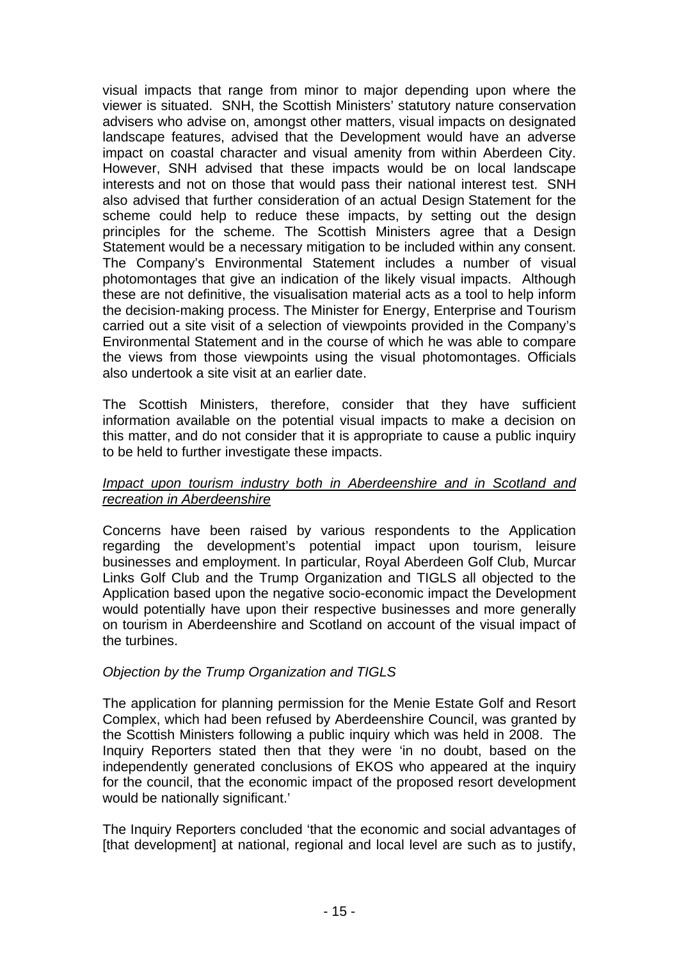visual impacts that range from minor to major depending upon where the viewer is situated. SNH, the Scottish Ministers' statutory nature conservation advisers who advise on, amongst other matters, visual impacts on designated landscape features, advised that the Development would have an adverse impact on coastal character and visual amenity from within Aberdeen City. However, SNH advised that these impacts would be on local landscape interests and not on those that would pass their national interest test. SNH also advised that further consideration of an actual Design Statement for the scheme could help to reduce these impacts, by setting out the design principles for the scheme. The Scottish Ministers agree that a Design Statement would be a necessary mitigation to be included within any consent. The Company's Environmental Statement includes a number of visual photomontages that give an indication of the likely visual impacts. Although these are not definitive, the visualisation material acts as a tool to help inform the decision-making process. The Minister for Energy, Enterprise and Tourism carried out a site visit of a selection of viewpoints provided in the Company's Environmental Statement and in the course of which he was able to compare the views from those viewpoints using the visual photomontages. Officials also undertook a site visit at an earlier date.

The Scottish Ministers, therefore, consider that they have sufficient information available on the potential visual impacts to make a decision on this matter, and do not consider that it is appropriate to cause a public inquiry to be held to further investigate these impacts.

## *Impact upon tourism industry both in Aberdeenshire and in Scotland and recreation in Aberdeenshire*

Concerns have been raised by various respondents to the Application regarding the development's potential impact upon tourism, leisure businesses and employment. In particular, Royal Aberdeen Golf Club, Murcar Links Golf Club and the Trump Organization and TIGLS all objected to the Application based upon the negative socio-economic impact the Development would potentially have upon their respective businesses and more generally on tourism in Aberdeenshire and Scotland on account of the visual impact of the turbines.

## *Objection by the Trump Organization and TIGLS*

The application for planning permission for the Menie Estate Golf and Resort Complex, which had been refused by Aberdeenshire Council, was granted by the Scottish Ministers following a public inquiry which was held in 2008. The Inquiry Reporters stated then that they were 'in no doubt, based on the independently generated conclusions of EKOS who appeared at the inquiry for the council, that the economic impact of the proposed resort development would be nationally significant.'

The Inquiry Reporters concluded 'that the economic and social advantages of [that development] at national, regional and local level are such as to justify,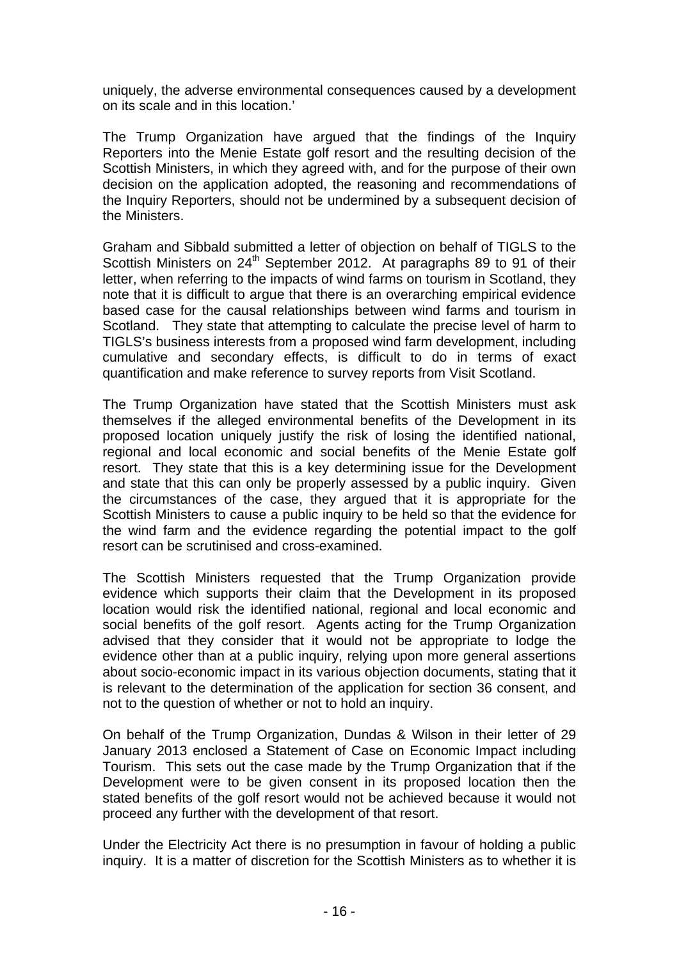uniquely, the adverse environmental consequences caused by a development on its scale and in this location.'

The Trump Organization have argued that the findings of the Inquiry Reporters into the Menie Estate golf resort and the resulting decision of the Scottish Ministers, in which they agreed with, and for the purpose of their own decision on the application adopted, the reasoning and recommendations of the Inquiry Reporters, should not be undermined by a subsequent decision of the Ministers.

Graham and Sibbald submitted a letter of objection on behalf of TIGLS to the Scottish Ministers on 24<sup>th</sup> September 2012. At paragraphs 89 to 91 of their letter, when referring to the impacts of wind farms on tourism in Scotland, they note that it is difficult to argue that there is an overarching empirical evidence based case for the causal relationships between wind farms and tourism in Scotland. They state that attempting to calculate the precise level of harm to TIGLS's business interests from a proposed wind farm development, including cumulative and secondary effects, is difficult to do in terms of exact quantification and make reference to survey reports from Visit Scotland.

The Trump Organization have stated that the Scottish Ministers must ask themselves if the alleged environmental benefits of the Development in its proposed location uniquely justify the risk of losing the identified national, regional and local economic and social benefits of the Menie Estate golf resort. They state that this is a key determining issue for the Development and state that this can only be properly assessed by a public inquiry. Given the circumstances of the case, they argued that it is appropriate for the Scottish Ministers to cause a public inquiry to be held so that the evidence for the wind farm and the evidence regarding the potential impact to the golf resort can be scrutinised and cross-examined.

The Scottish Ministers requested that the Trump Organization provide evidence which supports their claim that the Development in its proposed location would risk the identified national, regional and local economic and social benefits of the golf resort. Agents acting for the Trump Organization advised that they consider that it would not be appropriate to lodge the evidence other than at a public inquiry, relying upon more general assertions about socio-economic impact in its various objection documents, stating that it is relevant to the determination of the application for section 36 consent, and not to the question of whether or not to hold an inquiry.

On behalf of the Trump Organization, Dundas & Wilson in their letter of 29 January 2013 enclosed a Statement of Case on Economic Impact including Tourism. This sets out the case made by the Trump Organization that if the Development were to be given consent in its proposed location then the stated benefits of the golf resort would not be achieved because it would not proceed any further with the development of that resort.

Under the Electricity Act there is no presumption in favour of holding a public inquiry. It is a matter of discretion for the Scottish Ministers as to whether it is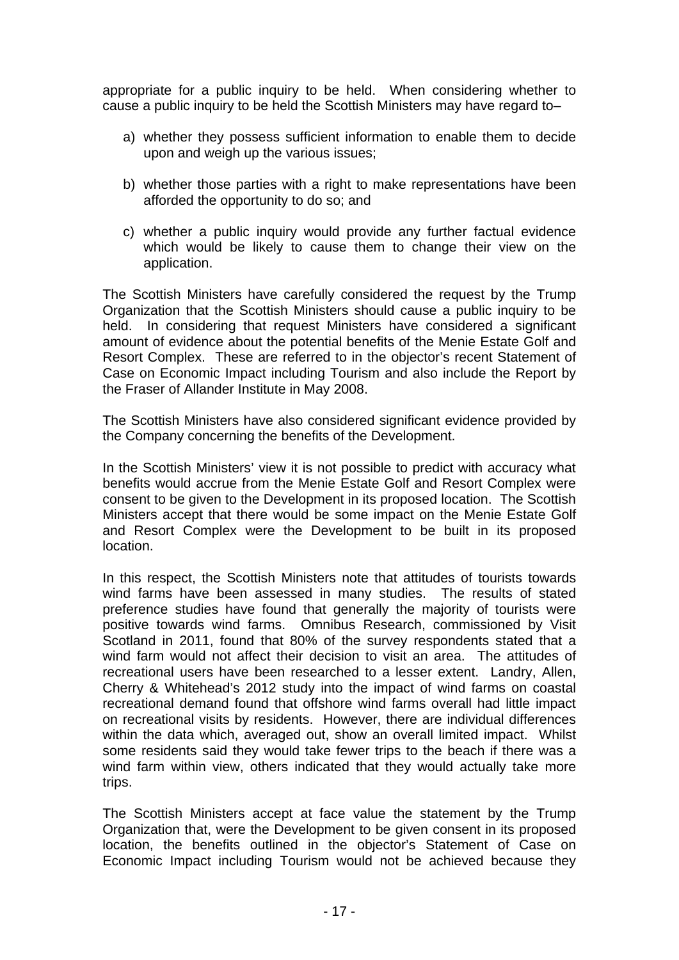appropriate for a public inquiry to be held. When considering whether to cause a public inquiry to be held the Scottish Ministers may have regard to–

- a) whether they possess sufficient information to enable them to decide upon and weigh up the various issues;
- b) whether those parties with a right to make representations have been afforded the opportunity to do so; and
- c) whether a public inquiry would provide any further factual evidence which would be likely to cause them to change their view on the application.

The Scottish Ministers have carefully considered the request by the Trump Organization that the Scottish Ministers should cause a public inquiry to be held. In considering that request Ministers have considered a significant amount of evidence about the potential benefits of the Menie Estate Golf and Resort Complex. These are referred to in the objector's recent Statement of Case on Economic Impact including Tourism and also include the Report by the Fraser of Allander Institute in May 2008.

The Scottish Ministers have also considered significant evidence provided by the Company concerning the benefits of the Development.

In the Scottish Ministers' view it is not possible to predict with accuracy what benefits would accrue from the Menie Estate Golf and Resort Complex were consent to be given to the Development in its proposed location. The Scottish Ministers accept that there would be some impact on the Menie Estate Golf and Resort Complex were the Development to be built in its proposed location.

In this respect, the Scottish Ministers note that attitudes of tourists towards wind farms have been assessed in many studies. The results of stated preference studies have found that generally the majority of tourists were positive towards wind farms. Omnibus Research, commissioned by Visit Scotland in 2011, found that 80% of the survey respondents stated that a wind farm would not affect their decision to visit an area. The attitudes of recreational users have been researched to a lesser extent. Landry, Allen, Cherry & Whitehead's 2012 study into the impact of wind farms on coastal recreational demand found that offshore wind farms overall had little impact on recreational visits by residents. However, there are individual differences within the data which, averaged out, show an overall limited impact. Whilst some residents said they would take fewer trips to the beach if there was a wind farm within view, others indicated that they would actually take more trips.

The Scottish Ministers accept at face value the statement by the Trump Organization that, were the Development to be given consent in its proposed location, the benefits outlined in the objector's Statement of Case on Economic Impact including Tourism would not be achieved because they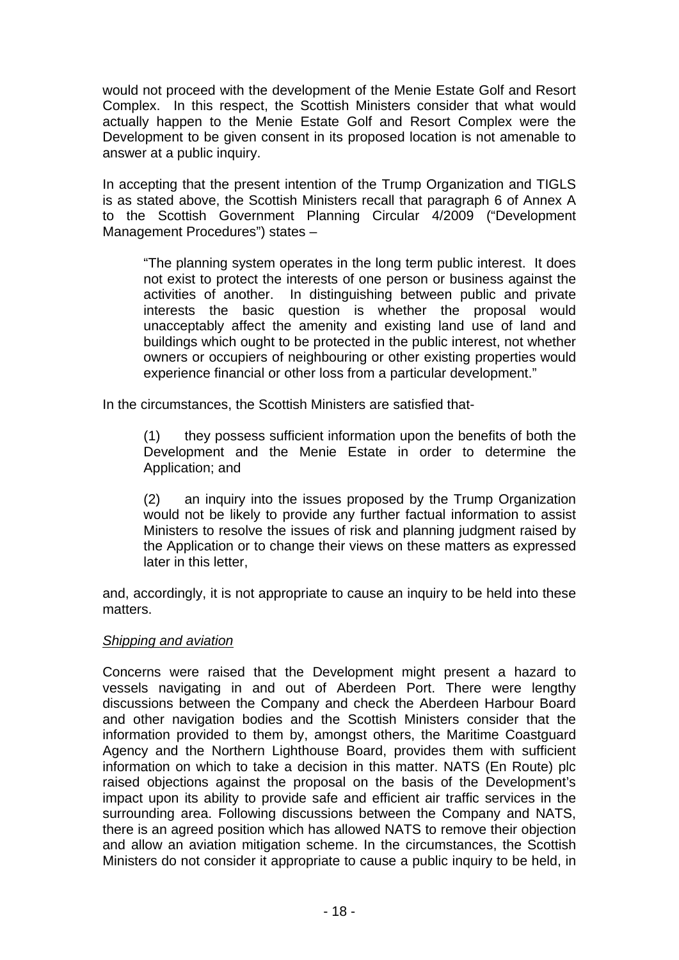would not proceed with the development of the Menie Estate Golf and Resort Complex. In this respect, the Scottish Ministers consider that what would actually happen to the Menie Estate Golf and Resort Complex were the Development to be given consent in its proposed location is not amenable to answer at a public inquiry.

In accepting that the present intention of the Trump Organization and TIGLS is as stated above, the Scottish Ministers recall that paragraph 6 of Annex A to the Scottish Government Planning Circular 4/2009 ("Development Management Procedures") states –

"The planning system operates in the long term public interest. It does not exist to protect the interests of one person or business against the activities of another. In distinguishing between public and private interests the basic question is whether the proposal would unacceptably affect the amenity and existing land use of land and buildings which ought to be protected in the public interest, not whether owners or occupiers of neighbouring or other existing properties would experience financial or other loss from a particular development."

In the circumstances, the Scottish Ministers are satisfied that-

(1) they possess sufficient information upon the benefits of both the Development and the Menie Estate in order to determine the Application; and

(2) an inquiry into the issues proposed by the Trump Organization would not be likely to provide any further factual information to assist Ministers to resolve the issues of risk and planning judgment raised by the Application or to change their views on these matters as expressed later in this letter,

and, accordingly, it is not appropriate to cause an inquiry to be held into these matters.

## *Shipping and aviation*

Concerns were raised that the Development might present a hazard to vessels navigating in and out of Aberdeen Port. There were lengthy discussions between the Company and check the Aberdeen Harbour Board and other navigation bodies and the Scottish Ministers consider that the information provided to them by, amongst others, the Maritime Coastguard Agency and the Northern Lighthouse Board, provides them with sufficient information on which to take a decision in this matter. NATS (En Route) plc raised objections against the proposal on the basis of the Development's impact upon its ability to provide safe and efficient air traffic services in the surrounding area. Following discussions between the Company and NATS, there is an agreed position which has allowed NATS to remove their objection and allow an aviation mitigation scheme. In the circumstances, the Scottish Ministers do not consider it appropriate to cause a public inquiry to be held, in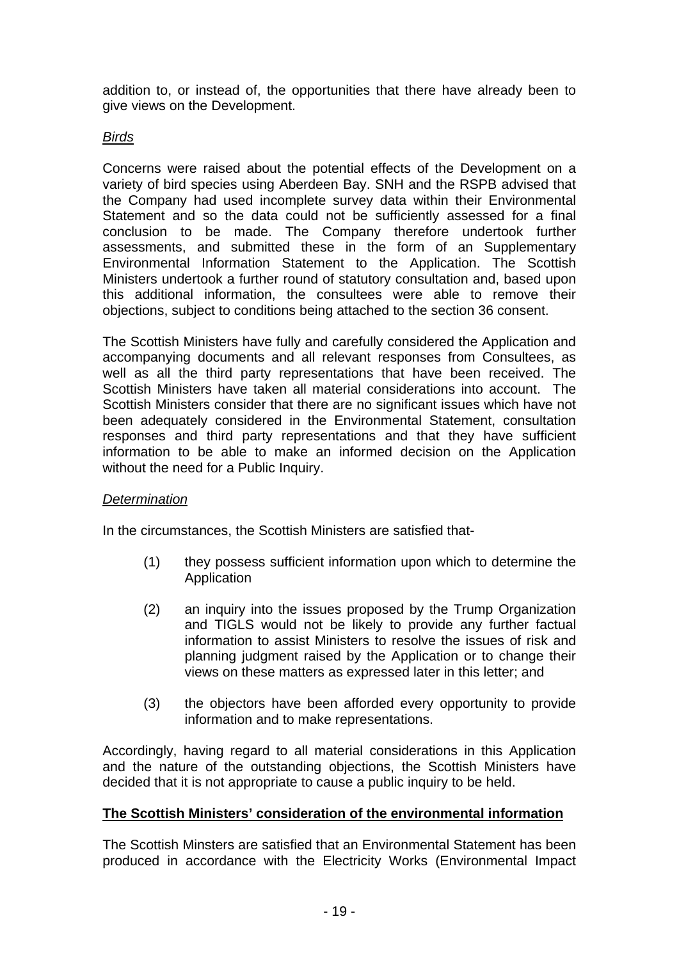addition to, or instead of, the opportunities that there have already been to give views on the Development.

## *Birds*

Concerns were raised about the potential effects of the Development on a variety of bird species using Aberdeen Bay. SNH and the RSPB advised that the Company had used incomplete survey data within their Environmental Statement and so the data could not be sufficiently assessed for a final conclusion to be made. The Company therefore undertook further assessments, and submitted these in the form of an Supplementary Environmental Information Statement to the Application. The Scottish Ministers undertook a further round of statutory consultation and, based upon this additional information, the consultees were able to remove their objections, subject to conditions being attached to the section 36 consent.

The Scottish Ministers have fully and carefully considered the Application and accompanying documents and all relevant responses from Consultees, as well as all the third party representations that have been received. The Scottish Ministers have taken all material considerations into account. The Scottish Ministers consider that there are no significant issues which have not been adequately considered in the Environmental Statement, consultation responses and third party representations and that they have sufficient information to be able to make an informed decision on the Application without the need for a Public Inquiry.

## *Determination*

In the circumstances, the Scottish Ministers are satisfied that-

- (1) they possess sufficient information upon which to determine the **Application**
- (2) an inquiry into the issues proposed by the Trump Organization and TIGLS would not be likely to provide any further factual information to assist Ministers to resolve the issues of risk and planning judgment raised by the Application or to change their views on these matters as expressed later in this letter; and
- (3) the objectors have been afforded every opportunity to provide information and to make representations.

Accordingly, having regard to all material considerations in this Application and the nature of the outstanding objections, the Scottish Ministers have decided that it is not appropriate to cause a public inquiry to be held.

## **The Scottish Ministers' consideration of the environmental information**

The Scottish Minsters are satisfied that an Environmental Statement has been produced in accordance with the Electricity Works (Environmental Impact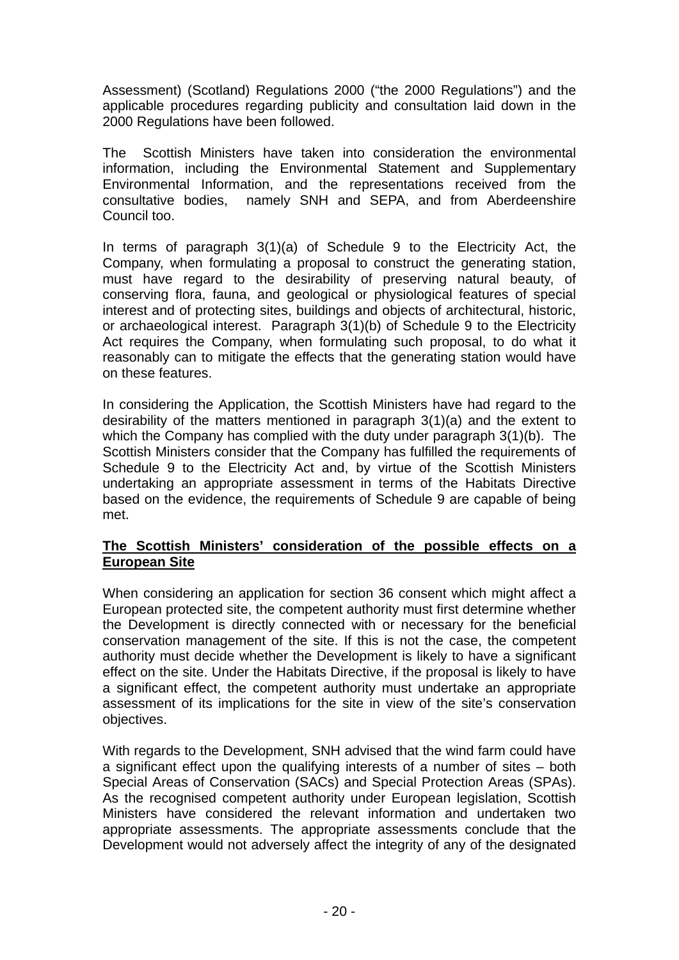Assessment) (Scotland) Regulations 2000 ("the 2000 Regulations") and the applicable procedures regarding publicity and consultation laid down in the 2000 Regulations have been followed.

The Scottish Ministers have taken into consideration the environmental information, including the Environmental Statement and Supplementary Environmental Information, and the representations received from the consultative bodies, namely SNH and SEPA, and from Aberdeenshire Council too.

In terms of paragraph 3(1)(a) of Schedule 9 to the Electricity Act, the Company, when formulating a proposal to construct the generating station, must have regard to the desirability of preserving natural beauty, of conserving flora, fauna, and geological or physiological features of special interest and of protecting sites, buildings and objects of architectural, historic, or archaeological interest. Paragraph 3(1)(b) of Schedule 9 to the Electricity Act requires the Company, when formulating such proposal, to do what it reasonably can to mitigate the effects that the generating station would have on these features.

In considering the Application, the Scottish Ministers have had regard to the desirability of the matters mentioned in paragraph 3(1)(a) and the extent to which the Company has complied with the duty under paragraph 3(1)(b). The Scottish Ministers consider that the Company has fulfilled the requirements of Schedule 9 to the Electricity Act and, by virtue of the Scottish Ministers undertaking an appropriate assessment in terms of the Habitats Directive based on the evidence, the requirements of Schedule 9 are capable of being met.

## **The Scottish Ministers' consideration of the possible effects on a European Site**

When considering an application for section 36 consent which might affect a European protected site, the competent authority must first determine whether the Development is directly connected with or necessary for the beneficial conservation management of the site. If this is not the case, the competent authority must decide whether the Development is likely to have a significant effect on the site. Under the Habitats Directive, if the proposal is likely to have a significant effect, the competent authority must undertake an appropriate assessment of its implications for the site in view of the site's conservation objectives.

With regards to the Development, SNH advised that the wind farm could have a significant effect upon the qualifying interests of a number of sites – both Special Areas of Conservation (SACs) and Special Protection Areas (SPAs). As the recognised competent authority under European legislation, Scottish Ministers have considered the relevant information and undertaken two appropriate assessments. The appropriate assessments conclude that the Development would not adversely affect the integrity of any of the designated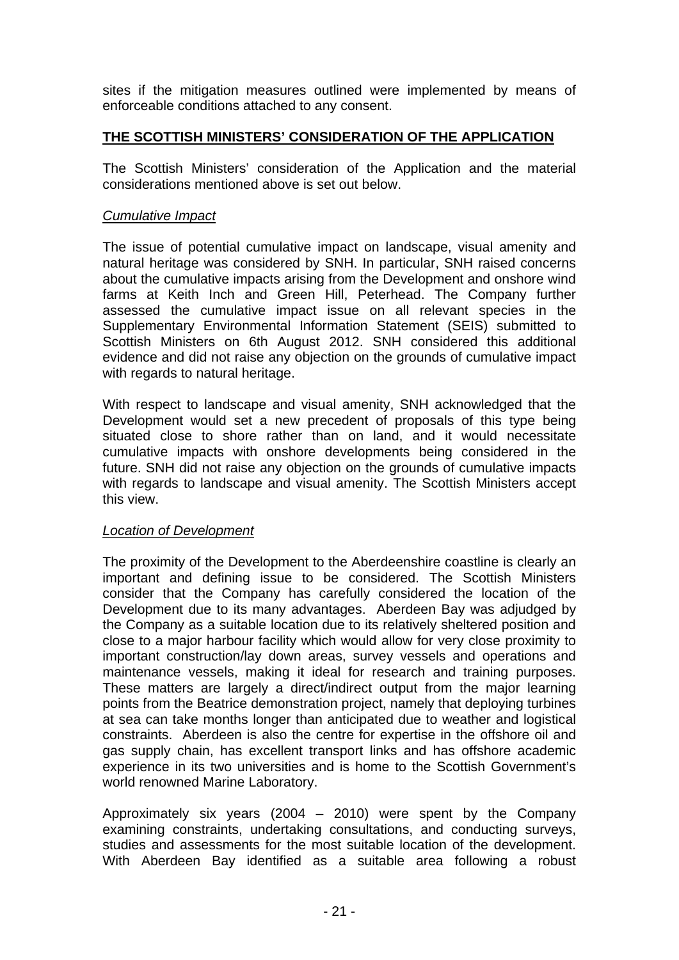sites if the mitigation measures outlined were implemented by means of enforceable conditions attached to any consent.

## **THE SCOTTISH MINISTERS' CONSIDERATION OF THE APPLICATION**

The Scottish Ministers' consideration of the Application and the material considerations mentioned above is set out below.

## *Cumulative Impact*

The issue of potential cumulative impact on landscape, visual amenity and natural heritage was considered by SNH. In particular, SNH raised concerns about the cumulative impacts arising from the Development and onshore wind farms at Keith Inch and Green Hill, Peterhead. The Company further assessed the cumulative impact issue on all relevant species in the Supplementary Environmental Information Statement (SEIS) submitted to Scottish Ministers on 6th August 2012. SNH considered this additional evidence and did not raise any objection on the grounds of cumulative impact with regards to natural heritage.

With respect to landscape and visual amenity, SNH acknowledged that the Development would set a new precedent of proposals of this type being situated close to shore rather than on land, and it would necessitate cumulative impacts with onshore developments being considered in the future. SNH did not raise any objection on the grounds of cumulative impacts with regards to landscape and visual amenity. The Scottish Ministers accept this view.

## *Location of Development*

The proximity of the Development to the Aberdeenshire coastline is clearly an important and defining issue to be considered. The Scottish Ministers consider that the Company has carefully considered the location of the Development due to its many advantages. Aberdeen Bay was adjudged by the Company as a suitable location due to its relatively sheltered position and close to a major harbour facility which would allow for very close proximity to important construction/lay down areas, survey vessels and operations and maintenance vessels, making it ideal for research and training purposes. These matters are largely a direct/indirect output from the major learning points from the Beatrice demonstration project, namely that deploying turbines at sea can take months longer than anticipated due to weather and logistical constraints. Aberdeen is also the centre for expertise in the offshore oil and gas supply chain, has excellent transport links and has offshore academic experience in its two universities and is home to the Scottish Government's world renowned Marine Laboratory.

Approximately six years (2004 – 2010) were spent by the Company examining constraints, undertaking consultations, and conducting surveys, studies and assessments for the most suitable location of the development. With Aberdeen Bay identified as a suitable area following a robust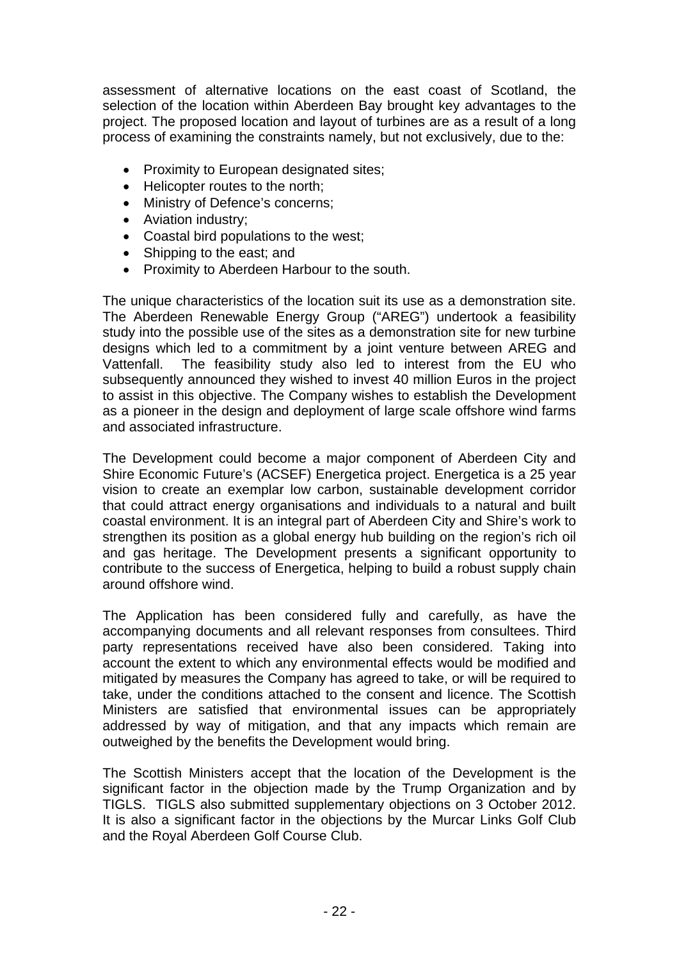assessment of alternative locations on the east coast of Scotland, the selection of the location within Aberdeen Bay brought key advantages to the project. The proposed location and layout of turbines are as a result of a long process of examining the constraints namely, but not exclusively, due to the:

- Proximity to European designated sites;
- Helicopter routes to the north:
- Ministry of Defence's concerns;
- Aviation industry;
- Coastal bird populations to the west;
- Shipping to the east; and
- Proximity to Aberdeen Harbour to the south.

The unique characteristics of the location suit its use as a demonstration site. The Aberdeen Renewable Energy Group ("AREG") undertook a feasibility study into the possible use of the sites as a demonstration site for new turbine designs which led to a commitment by a joint venture between AREG and Vattenfall. The feasibility study also led to interest from the EU who subsequently announced they wished to invest 40 million Euros in the project to assist in this objective. The Company wishes to establish the Development as a pioneer in the design and deployment of large scale offshore wind farms and associated infrastructure.

The Development could become a major component of Aberdeen City and Shire Economic Future's (ACSEF) Energetica project. Energetica is a 25 year vision to create an exemplar low carbon, sustainable development corridor that could attract energy organisations and individuals to a natural and built coastal environment. It is an integral part of Aberdeen City and Shire's work to strengthen its position as a global energy hub building on the region's rich oil and gas heritage. The Development presents a significant opportunity to contribute to the success of Energetica, helping to build a robust supply chain around offshore wind.

The Application has been considered fully and carefully, as have the accompanying documents and all relevant responses from consultees. Third party representations received have also been considered. Taking into account the extent to which any environmental effects would be modified and mitigated by measures the Company has agreed to take, or will be required to take, under the conditions attached to the consent and licence. The Scottish Ministers are satisfied that environmental issues can be appropriately addressed by way of mitigation, and that any impacts which remain are outweighed by the benefits the Development would bring.

The Scottish Ministers accept that the location of the Development is the significant factor in the objection made by the Trump Organization and by TIGLS. TIGLS also submitted supplementary objections on 3 October 2012. It is also a significant factor in the objections by the Murcar Links Golf Club and the Royal Aberdeen Golf Course Club.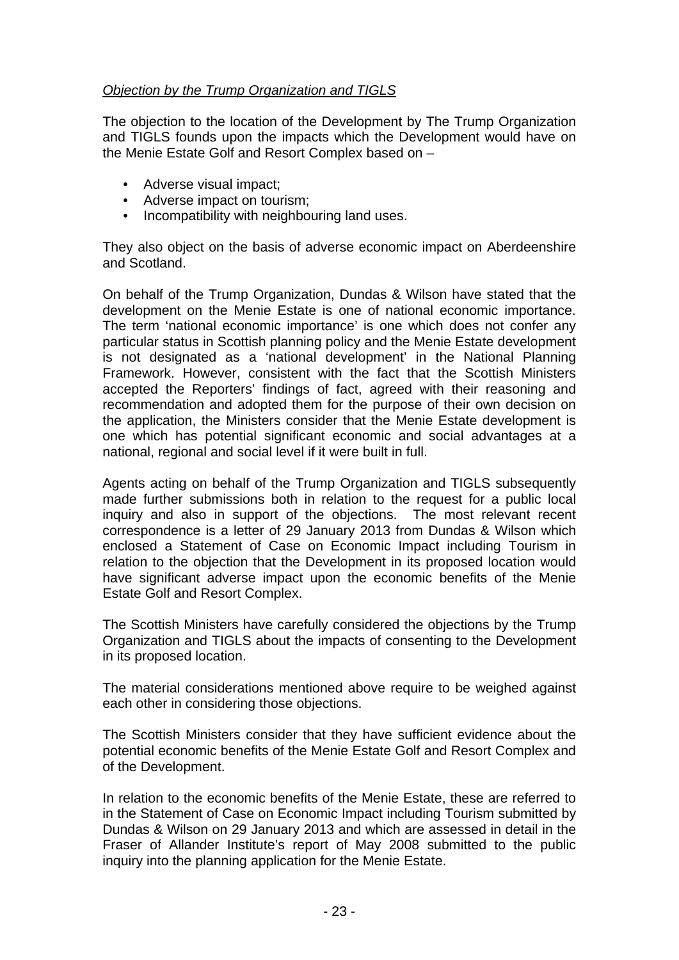## *Objection by the Trump Organization and TIGLS*

The objection to the location of the Development by The Trump Organization and TIGLS founds upon the impacts which the Development would have on the Menie Estate Golf and Resort Complex based on –

- Adverse visual impact;
- Adverse impact on tourism;
- Incompatibility with neighbouring land uses.

They also object on the basis of adverse economic impact on Aberdeenshire and Scotland.

On behalf of the Trump Organization, Dundas & Wilson have stated that the development on the Menie Estate is one of national economic importance. The term 'national economic importance' is one which does not confer any particular status in Scottish planning policy and the Menie Estate development is not designated as a 'national development' in the National Planning Framework. However, consistent with the fact that the Scottish Ministers accepted the Reporters' findings of fact, agreed with their reasoning and recommendation and adopted them for the purpose of their own decision on the application, the Ministers consider that the Menie Estate development is one which has potential significant economic and social advantages at a national, regional and social level if it were built in full.

Agents acting on behalf of the Trump Organization and TIGLS subsequently made further submissions both in relation to the request for a public local inquiry and also in support of the objections. The most relevant recent correspondence is a letter of 29 January 2013 from Dundas & Wilson which enclosed a Statement of Case on Economic Impact including Tourism in relation to the objection that the Development in its proposed location would have significant adverse impact upon the economic benefits of the Menie Estate Golf and Resort Complex.

The Scottish Ministers have carefully considered the objections by the Trump Organization and TIGLS about the impacts of consenting to the Development in its proposed location.

The material considerations mentioned above require to be weighed against each other in considering those objections.

The Scottish Ministers consider that they have sufficient evidence about the potential economic benefits of the Menie Estate Golf and Resort Complex and of the Development.

In relation to the economic benefits of the Menie Estate, these are referred to in the Statement of Case on Economic Impact including Tourism submitted by Dundas & Wilson on 29 January 2013 and which are assessed in detail in the Fraser of Allander Institute's report of May 2008 submitted to the public inquiry into the planning application for the Menie Estate.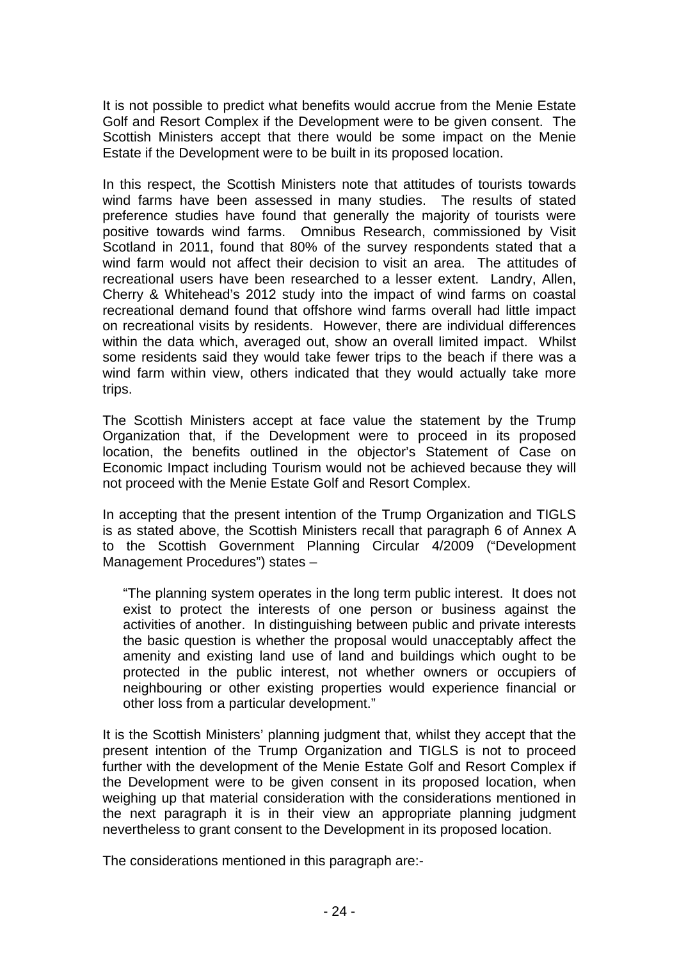It is not possible to predict what benefits would accrue from the Menie Estate Golf and Resort Complex if the Development were to be given consent. The Scottish Ministers accept that there would be some impact on the Menie Estate if the Development were to be built in its proposed location.

In this respect, the Scottish Ministers note that attitudes of tourists towards wind farms have been assessed in many studies. The results of stated preference studies have found that generally the majority of tourists were positive towards wind farms. Omnibus Research, commissioned by Visit Scotland in 2011, found that 80% of the survey respondents stated that a wind farm would not affect their decision to visit an area. The attitudes of recreational users have been researched to a lesser extent. Landry, Allen, Cherry & Whitehead's 2012 study into the impact of wind farms on coastal recreational demand found that offshore wind farms overall had little impact on recreational visits by residents. However, there are individual differences within the data which, averaged out, show an overall limited impact. Whilst some residents said they would take fewer trips to the beach if there was a wind farm within view, others indicated that they would actually take more trips.

The Scottish Ministers accept at face value the statement by the Trump Organization that, if the Development were to proceed in its proposed location, the benefits outlined in the objector's Statement of Case on Economic Impact including Tourism would not be achieved because they will not proceed with the Menie Estate Golf and Resort Complex.

In accepting that the present intention of the Trump Organization and TIGLS is as stated above, the Scottish Ministers recall that paragraph 6 of Annex A to the Scottish Government Planning Circular 4/2009 ("Development Management Procedures") states –

"The planning system operates in the long term public interest. It does not exist to protect the interests of one person or business against the activities of another. In distinguishing between public and private interests the basic question is whether the proposal would unacceptably affect the amenity and existing land use of land and buildings which ought to be protected in the public interest, not whether owners or occupiers of neighbouring or other existing properties would experience financial or other loss from a particular development."

It is the Scottish Ministers' planning judgment that, whilst they accept that the present intention of the Trump Organization and TIGLS is not to proceed further with the development of the Menie Estate Golf and Resort Complex if the Development were to be given consent in its proposed location, when weighing up that material consideration with the considerations mentioned in the next paragraph it is in their view an appropriate planning judgment nevertheless to grant consent to the Development in its proposed location.

The considerations mentioned in this paragraph are:-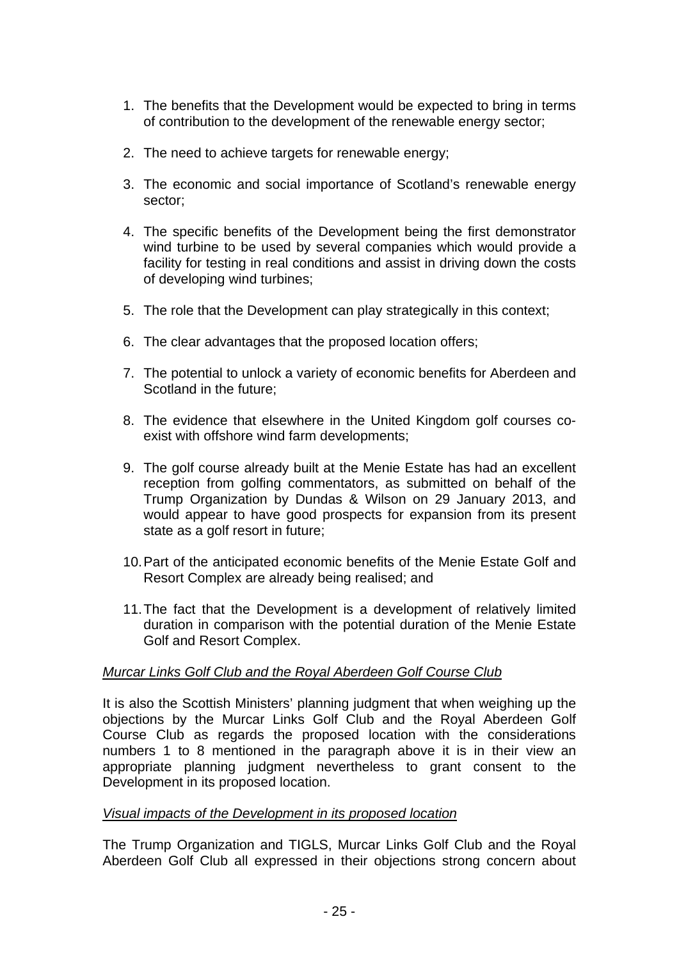- 1. The benefits that the Development would be expected to bring in terms of contribution to the development of the renewable energy sector;
- 2. The need to achieve targets for renewable energy;
- 3. The economic and social importance of Scotland's renewable energy sector;
- 4. The specific benefits of the Development being the first demonstrator wind turbine to be used by several companies which would provide a facility for testing in real conditions and assist in driving down the costs of developing wind turbines;
- 5. The role that the Development can play strategically in this context;
- 6. The clear advantages that the proposed location offers;
- 7. The potential to unlock a variety of economic benefits for Aberdeen and Scotland in the future;
- 8. The evidence that elsewhere in the United Kingdom golf courses coexist with offshore wind farm developments;
- 9. The golf course already built at the Menie Estate has had an excellent reception from golfing commentators, as submitted on behalf of the Trump Organization by Dundas & Wilson on 29 January 2013, and would appear to have good prospects for expansion from its present state as a golf resort in future;
- 10. Part of the anticipated economic benefits of the Menie Estate Golf and Resort Complex are already being realised; and
- 11. The fact that the Development is a development of relatively limited duration in comparison with the potential duration of the Menie Estate Golf and Resort Complex.

## *Murcar Links Golf Club and the Royal Aberdeen Golf Course Club*

It is also the Scottish Ministers' planning judgment that when weighing up the objections by the Murcar Links Golf Club and the Royal Aberdeen Golf Course Club as regards the proposed location with the considerations numbers 1 to 8 mentioned in the paragraph above it is in their view an appropriate planning judgment nevertheless to grant consent to the Development in its proposed location.

## *Visual impacts of the Development in its proposed location*

The Trump Organization and TIGLS, Murcar Links Golf Club and the Royal Aberdeen Golf Club all expressed in their objections strong concern about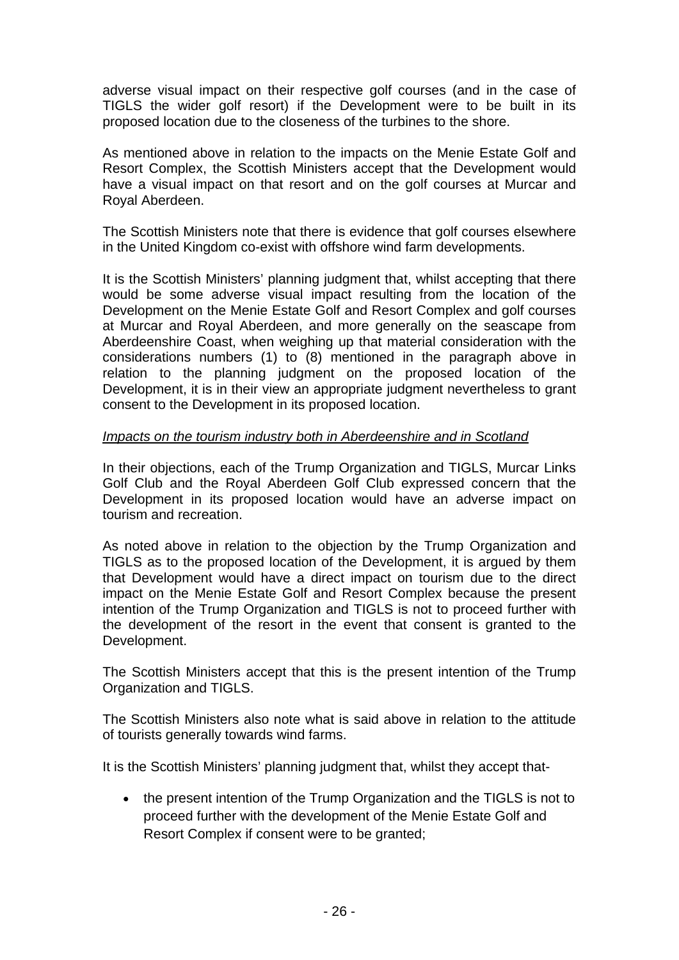adverse visual impact on their respective golf courses (and in the case of TIGLS the wider golf resort) if the Development were to be built in its proposed location due to the closeness of the turbines to the shore.

As mentioned above in relation to the impacts on the Menie Estate Golf and Resort Complex, the Scottish Ministers accept that the Development would have a visual impact on that resort and on the golf courses at Murcar and Royal Aberdeen.

The Scottish Ministers note that there is evidence that golf courses elsewhere in the United Kingdom co-exist with offshore wind farm developments.

It is the Scottish Ministers' planning judgment that, whilst accepting that there would be some adverse visual impact resulting from the location of the Development on the Menie Estate Golf and Resort Complex and golf courses at Murcar and Royal Aberdeen, and more generally on the seascape from Aberdeenshire Coast, when weighing up that material consideration with the considerations numbers (1) to (8) mentioned in the paragraph above in relation to the planning judgment on the proposed location of the Development, it is in their view an appropriate judgment nevertheless to grant consent to the Development in its proposed location.

## *Impacts on the tourism industry both in Aberdeenshire and in Scotland*

In their objections, each of the Trump Organization and TIGLS, Murcar Links Golf Club and the Royal Aberdeen Golf Club expressed concern that the Development in its proposed location would have an adverse impact on tourism and recreation.

As noted above in relation to the objection by the Trump Organization and TIGLS as to the proposed location of the Development, it is argued by them that Development would have a direct impact on tourism due to the direct impact on the Menie Estate Golf and Resort Complex because the present intention of the Trump Organization and TIGLS is not to proceed further with the development of the resort in the event that consent is granted to the Development.

The Scottish Ministers accept that this is the present intention of the Trump Organization and TIGLS.

The Scottish Ministers also note what is said above in relation to the attitude of tourists generally towards wind farms.

It is the Scottish Ministers' planning judgment that, whilst they accept that-

• the present intention of the Trump Organization and the TIGLS is not to proceed further with the development of the Menie Estate Golf and Resort Complex if consent were to be granted;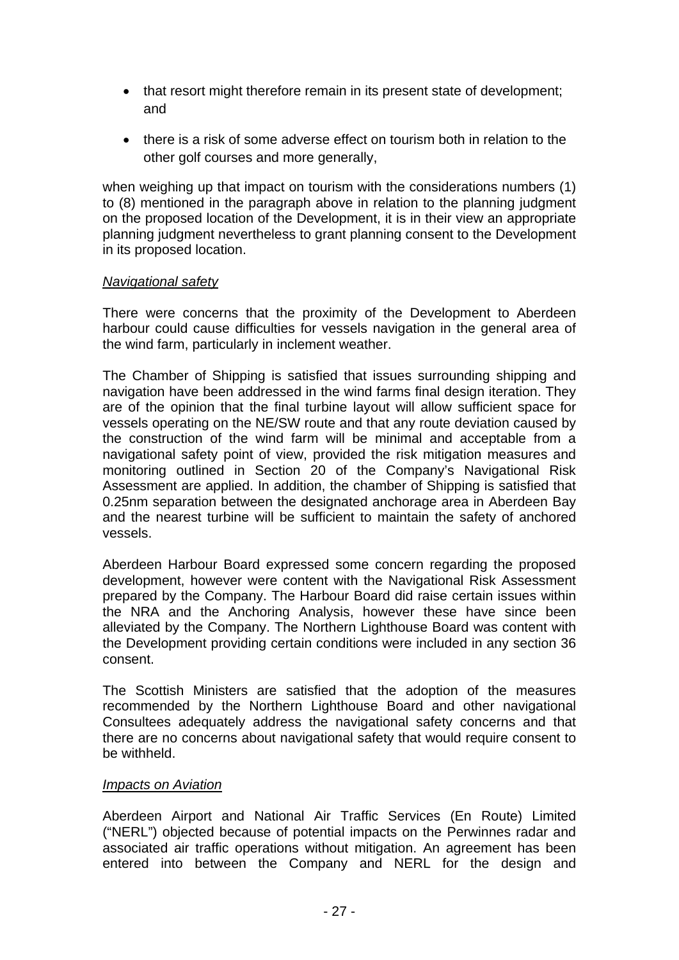- that resort might therefore remain in its present state of development; and
- there is a risk of some adverse effect on tourism both in relation to the other golf courses and more generally,

when weighing up that impact on tourism with the considerations numbers (1) to (8) mentioned in the paragraph above in relation to the planning judgment on the proposed location of the Development, it is in their view an appropriate planning judgment nevertheless to grant planning consent to the Development in its proposed location.

## *Navigational safety*

There were concerns that the proximity of the Development to Aberdeen harbour could cause difficulties for vessels navigation in the general area of the wind farm, particularly in inclement weather.

The Chamber of Shipping is satisfied that issues surrounding shipping and navigation have been addressed in the wind farms final design iteration. They are of the opinion that the final turbine layout will allow sufficient space for vessels operating on the NE/SW route and that any route deviation caused by the construction of the wind farm will be minimal and acceptable from a navigational safety point of view, provided the risk mitigation measures and monitoring outlined in Section 20 of the Company's Navigational Risk Assessment are applied. In addition, the chamber of Shipping is satisfied that 0.25nm separation between the designated anchorage area in Aberdeen Bay and the nearest turbine will be sufficient to maintain the safety of anchored vessels.

Aberdeen Harbour Board expressed some concern regarding the proposed development, however were content with the Navigational Risk Assessment prepared by the Company. The Harbour Board did raise certain issues within the NRA and the Anchoring Analysis, however these have since been alleviated by the Company. The Northern Lighthouse Board was content with the Development providing certain conditions were included in any section 36 consent.

The Scottish Ministers are satisfied that the adoption of the measures recommended by the Northern Lighthouse Board and other navigational Consultees adequately address the navigational safety concerns and that there are no concerns about navigational safety that would require consent to be withheld.

## *Impacts on Aviation*

Aberdeen Airport and National Air Traffic Services (En Route) Limited ("NERL") objected because of potential impacts on the Perwinnes radar and associated air traffic operations without mitigation. An agreement has been entered into between the Company and NERL for the design and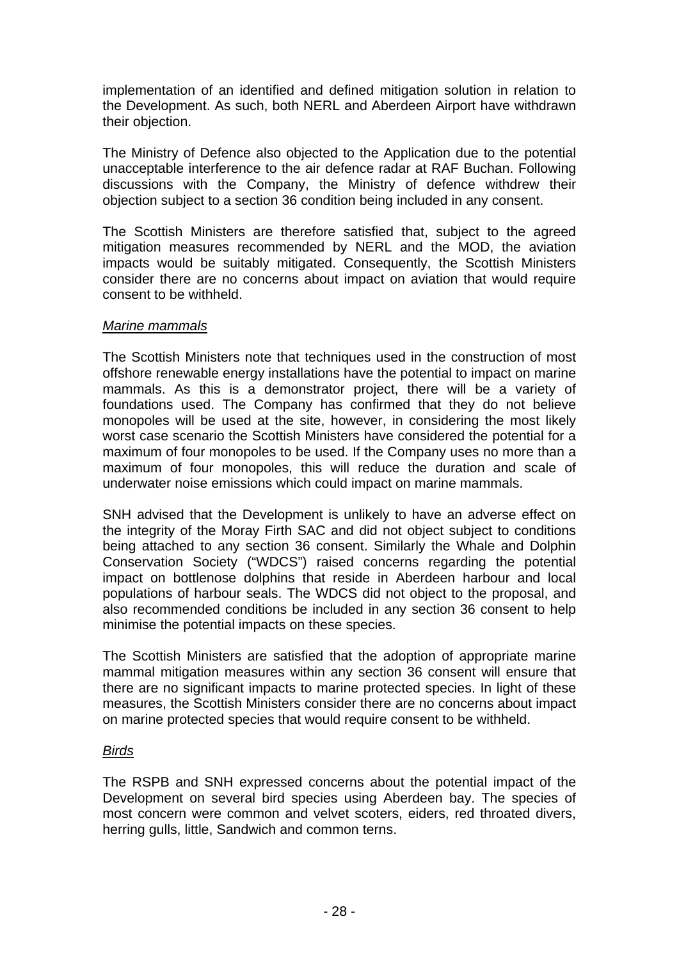implementation of an identified and defined mitigation solution in relation to the Development. As such, both NERL and Aberdeen Airport have withdrawn their objection.

The Ministry of Defence also objected to the Application due to the potential unacceptable interference to the air defence radar at RAF Buchan. Following discussions with the Company, the Ministry of defence withdrew their objection subject to a section 36 condition being included in any consent.

The Scottish Ministers are therefore satisfied that, subject to the agreed mitigation measures recommended by NERL and the MOD, the aviation impacts would be suitably mitigated. Consequently, the Scottish Ministers consider there are no concerns about impact on aviation that would require consent to be withheld.

## *Marine mammals*

The Scottish Ministers note that techniques used in the construction of most offshore renewable energy installations have the potential to impact on marine mammals. As this is a demonstrator project, there will be a variety of foundations used. The Company has confirmed that they do not believe monopoles will be used at the site, however, in considering the most likely worst case scenario the Scottish Ministers have considered the potential for a maximum of four monopoles to be used. If the Company uses no more than a maximum of four monopoles, this will reduce the duration and scale of underwater noise emissions which could impact on marine mammals.

SNH advised that the Development is unlikely to have an adverse effect on the integrity of the Moray Firth SAC and did not object subject to conditions being attached to any section 36 consent. Similarly the Whale and Dolphin Conservation Society ("WDCS") raised concerns regarding the potential impact on bottlenose dolphins that reside in Aberdeen harbour and local populations of harbour seals. The WDCS did not object to the proposal, and also recommended conditions be included in any section 36 consent to help minimise the potential impacts on these species.

The Scottish Ministers are satisfied that the adoption of appropriate marine mammal mitigation measures within any section 36 consent will ensure that there are no significant impacts to marine protected species. In light of these measures, the Scottish Ministers consider there are no concerns about impact on marine protected species that would require consent to be withheld.

## *Birds*

The RSPB and SNH expressed concerns about the potential impact of the Development on several bird species using Aberdeen bay. The species of most concern were common and velvet scoters, eiders, red throated divers, herring gulls, little, Sandwich and common terns.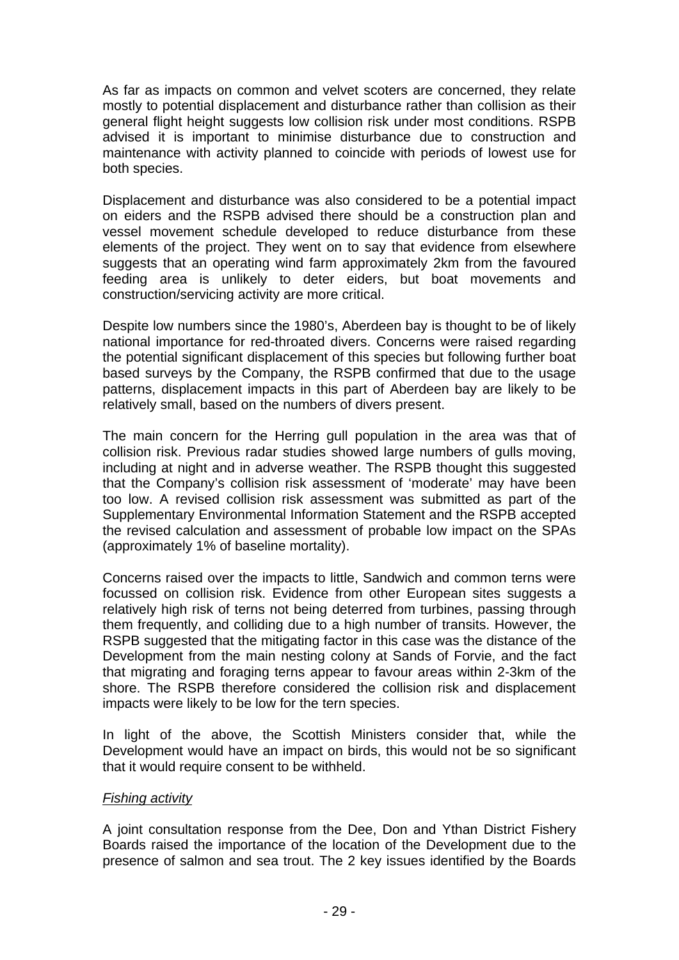As far as impacts on common and velvet scoters are concerned, they relate mostly to potential displacement and disturbance rather than collision as their general flight height suggests low collision risk under most conditions. RSPB advised it is important to minimise disturbance due to construction and maintenance with activity planned to coincide with periods of lowest use for both species.

Displacement and disturbance was also considered to be a potential impact on eiders and the RSPB advised there should be a construction plan and vessel movement schedule developed to reduce disturbance from these elements of the project. They went on to say that evidence from elsewhere suggests that an operating wind farm approximately 2km from the favoured feeding area is unlikely to deter eiders, but boat movements and construction/servicing activity are more critical.

Despite low numbers since the 1980's, Aberdeen bay is thought to be of likely national importance for red-throated divers. Concerns were raised regarding the potential significant displacement of this species but following further boat based surveys by the Company, the RSPB confirmed that due to the usage patterns, displacement impacts in this part of Aberdeen bay are likely to be relatively small, based on the numbers of divers present.

The main concern for the Herring gull population in the area was that of collision risk. Previous radar studies showed large numbers of gulls moving, including at night and in adverse weather. The RSPB thought this suggested that the Company's collision risk assessment of 'moderate' may have been too low. A revised collision risk assessment was submitted as part of the Supplementary Environmental Information Statement and the RSPB accepted the revised calculation and assessment of probable low impact on the SPAs (approximately 1% of baseline mortality).

Concerns raised over the impacts to little, Sandwich and common terns were focussed on collision risk. Evidence from other European sites suggests a relatively high risk of terns not being deterred from turbines, passing through them frequently, and colliding due to a high number of transits. However, the RSPB suggested that the mitigating factor in this case was the distance of the Development from the main nesting colony at Sands of Forvie, and the fact that migrating and foraging terns appear to favour areas within 2-3km of the shore. The RSPB therefore considered the collision risk and displacement impacts were likely to be low for the tern species.

In light of the above, the Scottish Ministers consider that, while the Development would have an impact on birds, this would not be so significant that it would require consent to be withheld.

## *Fishing activity*

A joint consultation response from the Dee, Don and Ythan District Fishery Boards raised the importance of the location of the Development due to the presence of salmon and sea trout. The 2 key issues identified by the Boards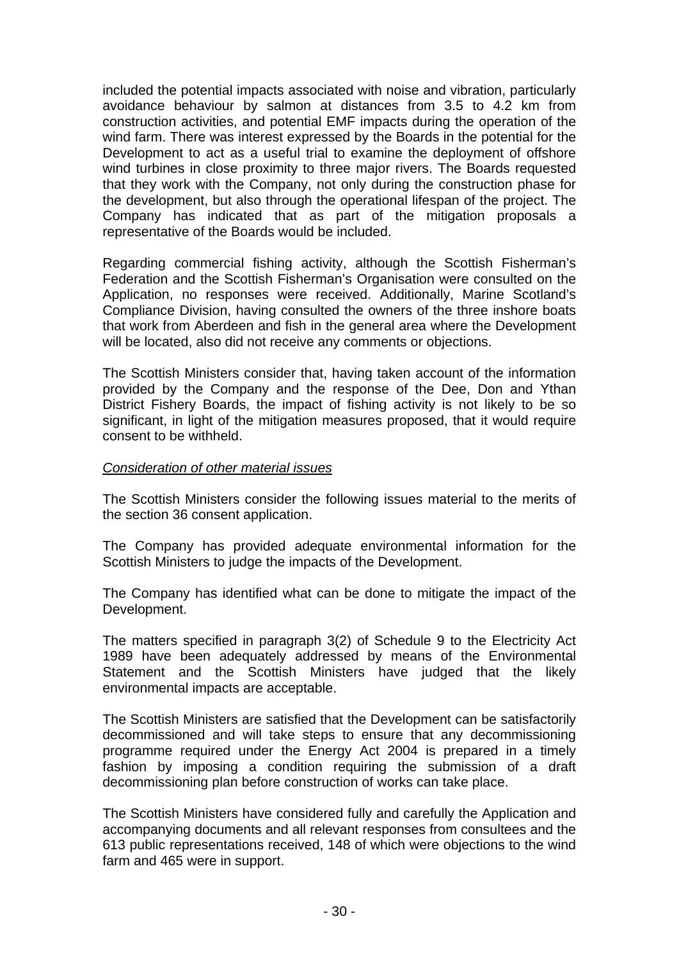included the potential impacts associated with noise and vibration, particularly avoidance behaviour by salmon at distances from 3.5 to 4.2 km from construction activities, and potential EMF impacts during the operation of the wind farm. There was interest expressed by the Boards in the potential for the Development to act as a useful trial to examine the deployment of offshore wind turbines in close proximity to three major rivers. The Boards requested that they work with the Company, not only during the construction phase for the development, but also through the operational lifespan of the project. The Company has indicated that as part of the mitigation proposals a representative of the Boards would be included.

Regarding commercial fishing activity, although the Scottish Fisherman's Federation and the Scottish Fisherman's Organisation were consulted on the Application, no responses were received. Additionally, Marine Scotland's Compliance Division, having consulted the owners of the three inshore boats that work from Aberdeen and fish in the general area where the Development will be located, also did not receive any comments or objections.

The Scottish Ministers consider that, having taken account of the information provided by the Company and the response of the Dee, Don and Ythan District Fishery Boards, the impact of fishing activity is not likely to be so significant, in light of the mitigation measures proposed, that it would require consent to be withheld.

## *Consideration of other material issues*

The Scottish Ministers consider the following issues material to the merits of the section 36 consent application.

The Company has provided adequate environmental information for the Scottish Ministers to judge the impacts of the Development.

The Company has identified what can be done to mitigate the impact of the Development.

The matters specified in paragraph 3(2) of Schedule 9 to the Electricity Act 1989 have been adequately addressed by means of the Environmental Statement and the Scottish Ministers have judged that the likely environmental impacts are acceptable.

The Scottish Ministers are satisfied that the Development can be satisfactorily decommissioned and will take steps to ensure that any decommissioning programme required under the Energy Act 2004 is prepared in a timely fashion by imposing a condition requiring the submission of a draft decommissioning plan before construction of works can take place.

The Scottish Ministers have considered fully and carefully the Application and accompanying documents and all relevant responses from consultees and the 613 public representations received, 148 of which were objections to the wind farm and 465 were in support.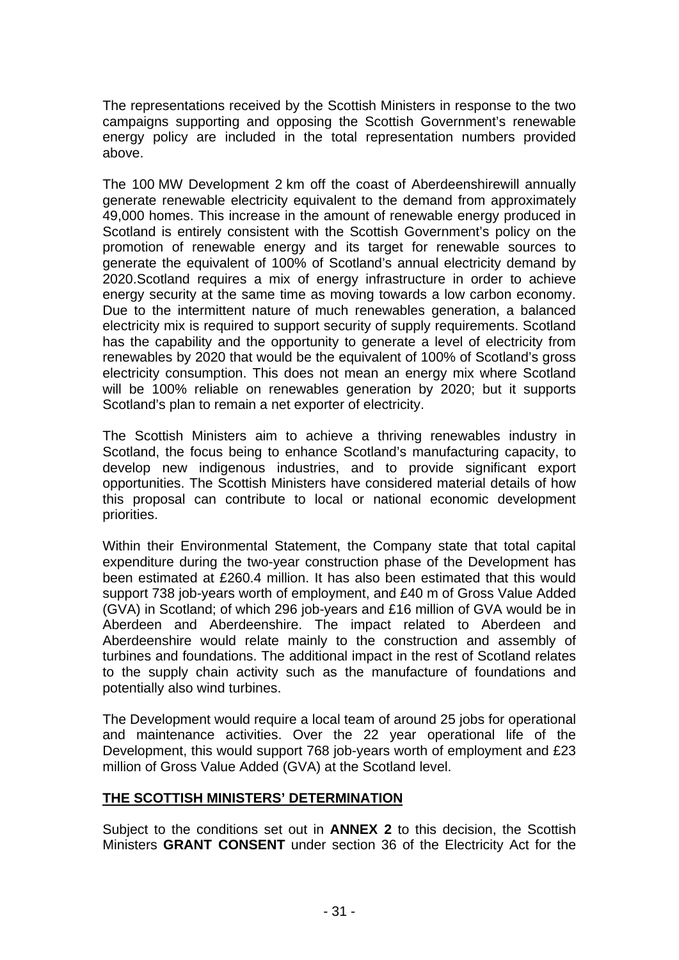The representations received by the Scottish Ministers in response to the two campaigns supporting and opposing the Scottish Government's renewable energy policy are included in the total representation numbers provided above.

The 100 MW Development 2 km off the coast of Aberdeenshirewill annually generate renewable electricity equivalent to the demand from approximately 49,000 homes. This increase in the amount of renewable energy produced in Scotland is entirely consistent with the Scottish Government's policy on the promotion of renewable energy and its target for renewable sources to generate the equivalent of 100% of Scotland's annual electricity demand by 2020.Scotland requires a mix of energy infrastructure in order to achieve energy security at the same time as moving towards a low carbon economy. Due to the intermittent nature of much renewables generation, a balanced electricity mix is required to support security of supply requirements. Scotland has the capability and the opportunity to generate a level of electricity from renewables by 2020 that would be the equivalent of 100% of Scotland's gross electricity consumption. This does not mean an energy mix where Scotland will be 100% reliable on renewables generation by 2020; but it supports Scotland's plan to remain a net exporter of electricity.

The Scottish Ministers aim to achieve a thriving renewables industry in Scotland, the focus being to enhance Scotland's manufacturing capacity, to develop new indigenous industries, and to provide significant export opportunities. The Scottish Ministers have considered material details of how this proposal can contribute to local or national economic development priorities.

Within their Environmental Statement, the Company state that total capital expenditure during the two-year construction phase of the Development has been estimated at £260.4 million. It has also been estimated that this would support 738 job-years worth of employment, and £40 m of Gross Value Added (GVA) in Scotland; of which 296 job-years and £16 million of GVA would be in Aberdeen and Aberdeenshire. The impact related to Aberdeen and Aberdeenshire would relate mainly to the construction and assembly of turbines and foundations. The additional impact in the rest of Scotland relates to the supply chain activity such as the manufacture of foundations and potentially also wind turbines.

The Development would require a local team of around 25 jobs for operational and maintenance activities. Over the 22 year operational life of the Development, this would support 768 job-years worth of employment and £23 million of Gross Value Added (GVA) at the Scotland level.

## **THE SCOTTISH MINISTERS' DETERMINATION**

Subject to the conditions set out in **ANNEX 2** to this decision, the Scottish Ministers **GRANT CONSENT** under section 36 of the Electricity Act for the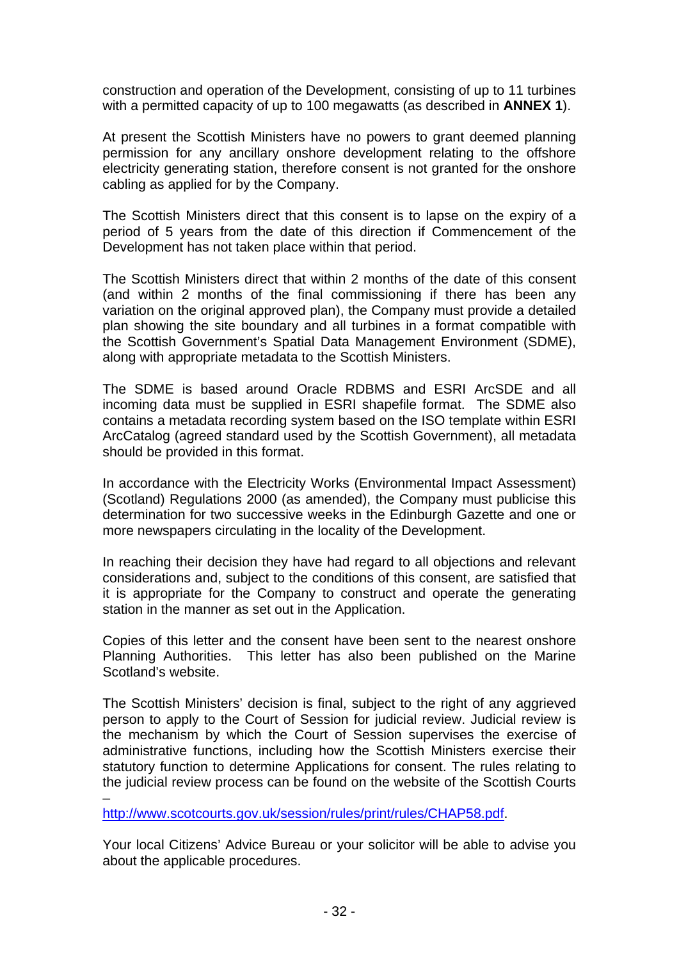construction and operation of the Development, consisting of up to 11 turbines with a permitted capacity of up to 100 megawatts (as described in **ANNEX 1**).

At present the Scottish Ministers have no powers to grant deemed planning permission for any ancillary onshore development relating to the offshore electricity generating station, therefore consent is not granted for the onshore cabling as applied for by the Company.

The Scottish Ministers direct that this consent is to lapse on the expiry of a period of 5 years from the date of this direction if Commencement of the Development has not taken place within that period.

The Scottish Ministers direct that within 2 months of the date of this consent (and within 2 months of the final commissioning if there has been any variation on the original approved plan), the Company must provide a detailed plan showing the site boundary and all turbines in a format compatible with the Scottish Government's Spatial Data Management Environment (SDME), along with appropriate metadata to the Scottish Ministers.

The SDME is based around Oracle RDBMS and ESRI ArcSDE and all incoming data must be supplied in ESRI shapefile format. The SDME also contains a metadata recording system based on the ISO template within ESRI ArcCatalog (agreed standard used by the Scottish Government), all metadata should be provided in this format.

In accordance with the Electricity Works (Environmental Impact Assessment) (Scotland) Regulations 2000 (as amended), the Company must publicise this determination for two successive weeks in the Edinburgh Gazette and one or more newspapers circulating in the locality of the Development.

In reaching their decision they have had regard to all objections and relevant considerations and, subject to the conditions of this consent, are satisfied that it is appropriate for the Company to construct and operate the generating station in the manner as set out in the Application.

Copies of this letter and the consent have been sent to the nearest onshore Planning Authorities. This letter has also been published on the Marine Scotland's website.

The Scottish Ministers' decision is final, subject to the right of any aggrieved person to apply to the Court of Session for judicial review. Judicial review is the mechanism by which the Court of Session supervises the exercise of administrative functions, including how the Scottish Ministers exercise their statutory function to determine Applications for consent. The rules relating to the judicial review process can be found on the website of the Scottish Courts

<http://www.scotcourts.gov.uk/session/rules/print/rules/CHAP58.pdf>.

–

Your local Citizens' Advice Bureau or your solicitor will be able to advise you about the applicable procedures.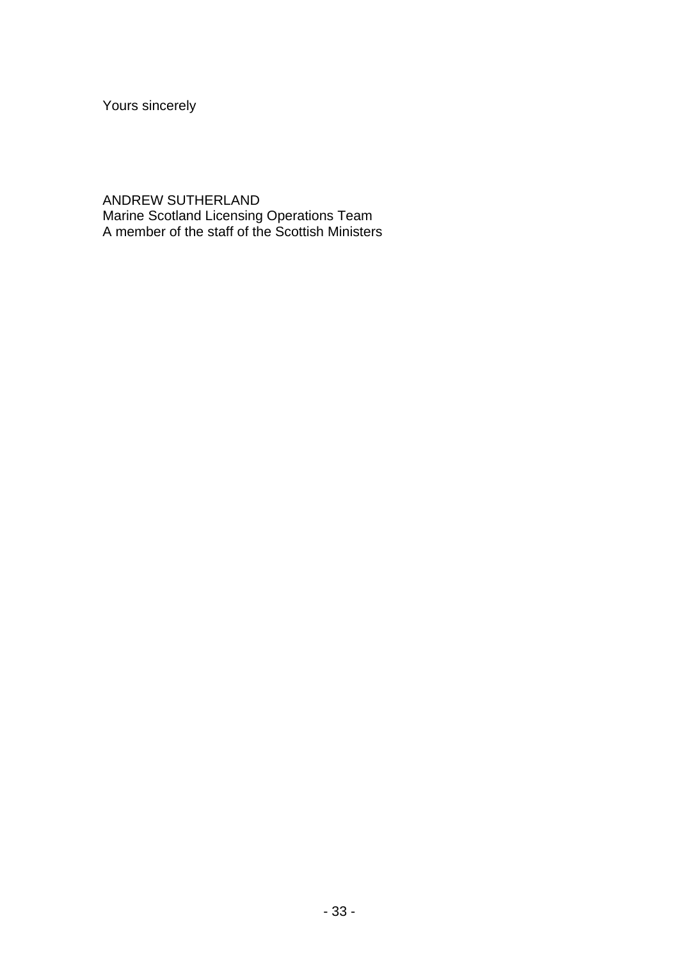Yours sincerely

ANDREW SUTHERLAND Marine Scotland Licensing Operations Team A member of the staff of the Scottish Ministers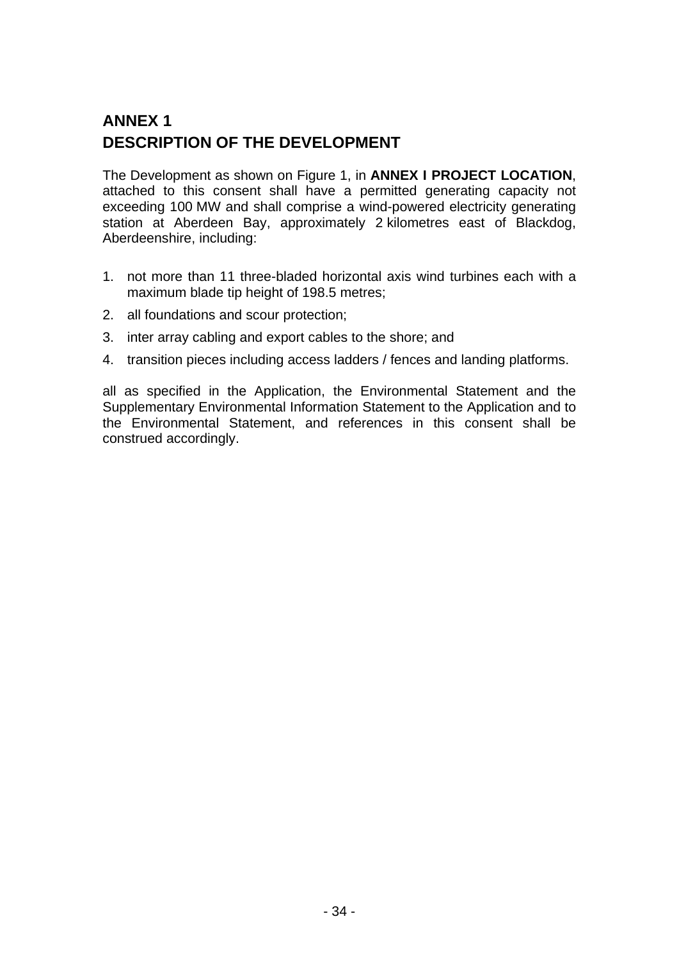# **ANNEX 1 DESCRIPTION OF THE DEVELOPMENT**

The Development as shown on Figure 1, in **ANNEX I PROJECT LOCATION**, attached to this consent shall have a permitted generating capacity not exceeding 100 MW and shall comprise a wind-powered electricity generating station at Aberdeen Bay, approximately 2 kilometres east of Blackdog, Aberdeenshire, including:

- 1. not more than 11 three-bladed horizontal axis wind turbines each with a maximum blade tip height of 198.5 metres;
- 2. all foundations and scour protection;
- 3. inter array cabling and export cables to the shore; and
- 4. transition pieces including access ladders / fences and landing platforms.

all as specified in the Application, the Environmental Statement and the Supplementary Environmental Information Statement to the Application and to the Environmental Statement, and references in this consent shall be construed accordingly.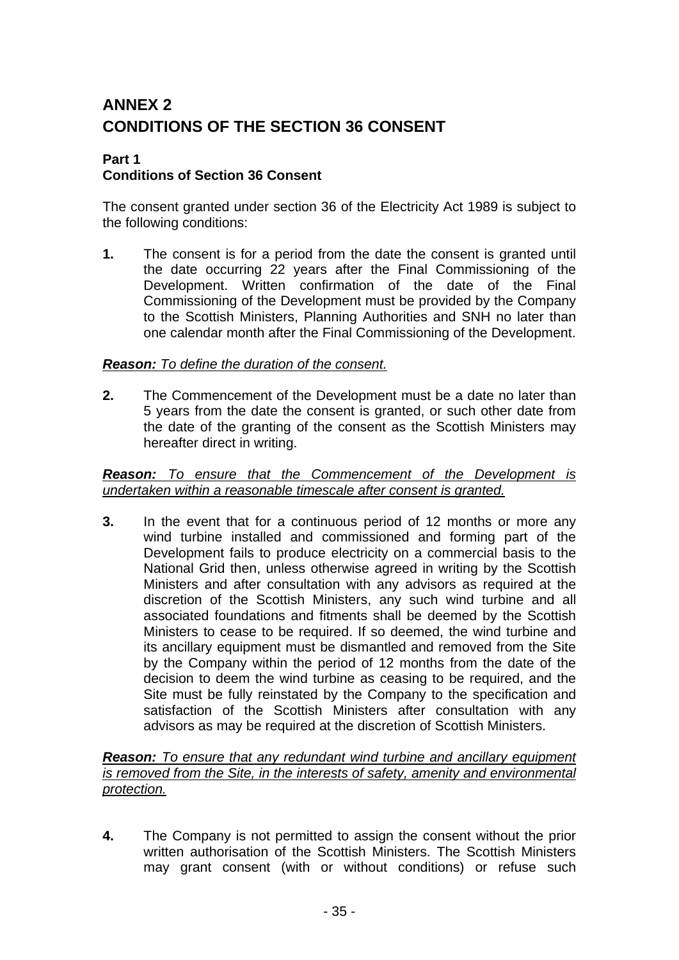# **ANNEX 2 CONDITIONS OF THE SECTION 36 CONSENT**

#### **Part 1 Conditions of Section 36 Consent**

The consent granted under section 36 of the Electricity Act 1989 is subject to the following conditions:

**1.** The consent is for a period from the date the consent is granted until the date occurring 22 years after the Final Commissioning of the Development. Written confirmation of the date of the Final Commissioning of the Development must be provided by the Company to the Scottish Ministers, Planning Authorities and SNH no later than one calendar month after the Final Commissioning of the Development.

## *Reason: To define the duration of the consent.*

**2.** The Commencement of the Development must be a date no later than 5 years from the date the consent is granted, or such other date from the date of the granting of the consent as the Scottish Ministers may hereafter direct in writing.

## *Reason: To ensure that the Commencement of the Development is undertaken within a reasonable timescale after consent is granted.*

**3.** In the event that for a continuous period of 12 months or more any wind turbine installed and commissioned and forming part of the Development fails to produce electricity on a commercial basis to the National Grid then, unless otherwise agreed in writing by the Scottish Ministers and after consultation with any advisors as required at the discretion of the Scottish Ministers, any such wind turbine and all associated foundations and fitments shall be deemed by the Scottish Ministers to cease to be required. If so deemed, the wind turbine and its ancillary equipment must be dismantled and removed from the Site by the Company within the period of 12 months from the date of the decision to deem the wind turbine as ceasing to be required, and the Site must be fully reinstated by the Company to the specification and satisfaction of the Scottish Ministers after consultation with any advisors as may be required at the discretion of Scottish Ministers.

#### *Reason: To ensure that any redundant wind turbine and ancillary equipment is removed from the Site, in the interests of safety, amenity and environmental protection.*

**4.** The Company is not permitted to assign the consent without the prior written authorisation of the Scottish Ministers. The Scottish Ministers may grant consent (with or without conditions) or refuse such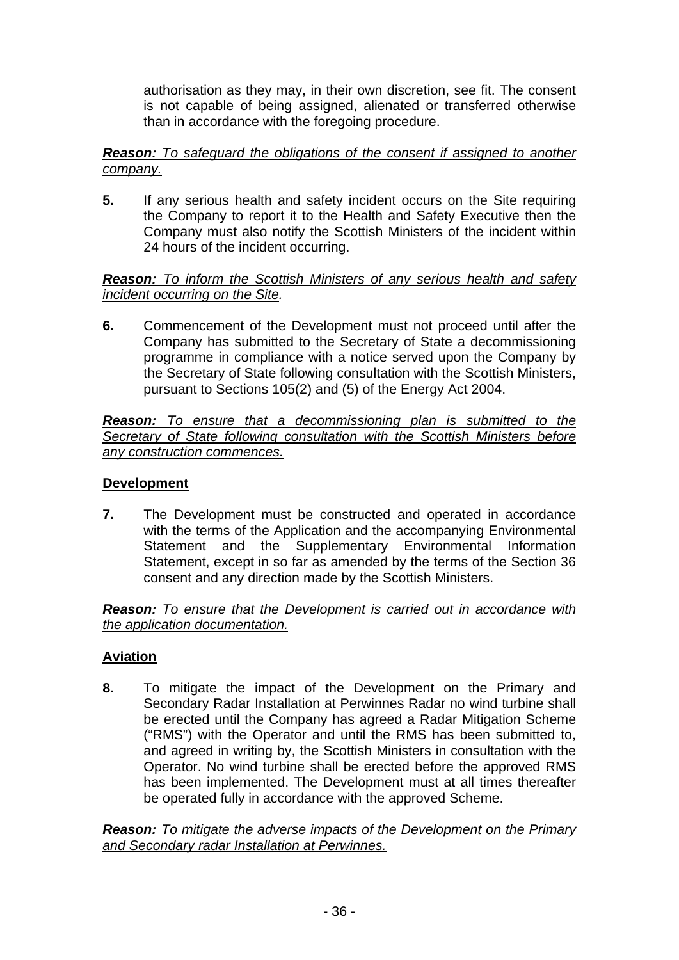authorisation as they may, in their own discretion, see fit. The consent is not capable of being assigned, alienated or transferred otherwise than in accordance with the foregoing procedure.

## *Reason: To safeguard the obligations of the consent if assigned to another company.*

**5.** If any serious health and safety incident occurs on the Site requiring the Company to report it to the Health and Safety Executive then the Company must also notify the Scottish Ministers of the incident within 24 hours of the incident occurring.

## *Reason: To inform the Scottish Ministers of any serious health and safety incident occurring on the Site.*

**6.** Commencement of the Development must not proceed until after the Company has submitted to the Secretary of State a decommissioning programme in compliance with a notice served upon the Company by the Secretary of State following consultation with the Scottish Ministers, pursuant to Sections 105(2) and (5) of the Energy Act 2004.

*Reason: To ensure that a decommissioning plan is submitted to the Secretary of State following consultation with the Scottish Ministers before any construction commences.*

## **Development**

**7.** The Development must be constructed and operated in accordance with the terms of the Application and the accompanying Environmental Statement and the Supplementary Environmental Information Statement, except in so far as amended by the terms of the Section 36 consent and any direction made by the Scottish Ministers.

*Reason: To ensure that the Development is carried out in accordance with the application documentation.*

# **Aviation**

**8.** To mitigate the impact of the Development on the Primary and Secondary Radar Installation at Perwinnes Radar no wind turbine shall be erected until the Company has agreed a Radar Mitigation Scheme ("RMS") with the Operator and until the RMS has been submitted to, and agreed in writing by, the Scottish Ministers in consultation with the Operator. No wind turbine shall be erected before the approved RMS has been implemented. The Development must at all times thereafter be operated fully in accordance with the approved Scheme.

*Reason: To mitigate the adverse impacts of the Development on the Primary and Secondary radar Installation at Perwinnes.*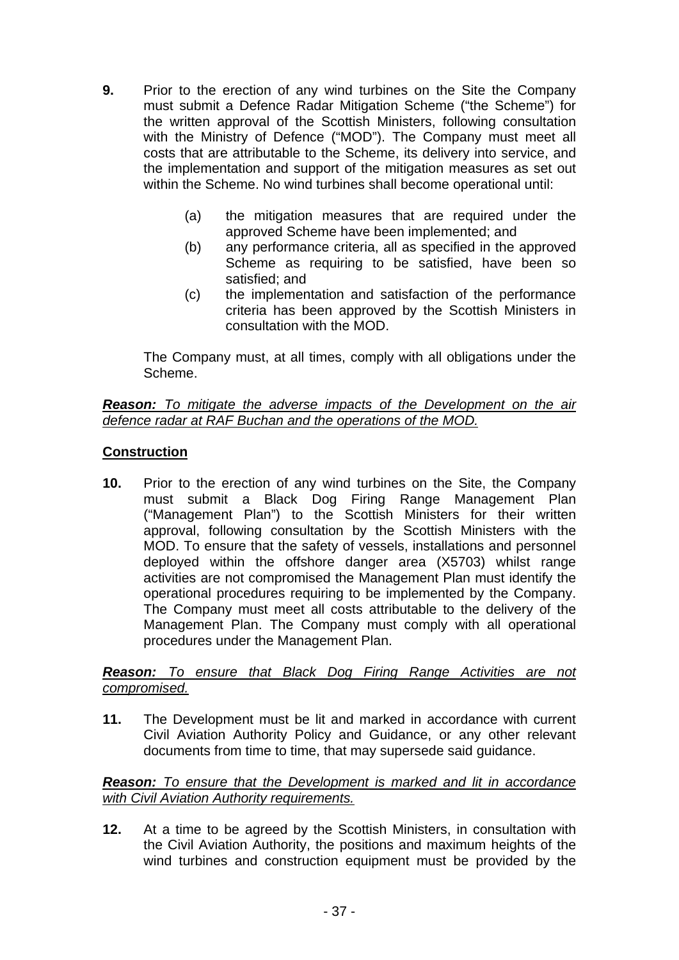- **9.** Prior to the erection of any wind turbines on the Site the Company must submit a Defence Radar Mitigation Scheme ("the Scheme") for the written approval of the Scottish Ministers, following consultation with the Ministry of Defence ("MOD"). The Company must meet all costs that are attributable to the Scheme, its delivery into service, and the implementation and support of the mitigation measures as set out within the Scheme. No wind turbines shall become operational until:
	- (a) the mitigation measures that are required under the approved Scheme have been implemented; and
	- (b) any performance criteria, all as specified in the approved Scheme as requiring to be satisfied, have been so satisfied; and
	- (c) the implementation and satisfaction of the performance criteria has been approved by the Scottish Ministers in consultation with the MOD.

The Company must, at all times, comply with all obligations under the Scheme.

## *Reason: To mitigate the adverse impacts of the Development on the air defence radar at RAF Buchan and the operations of the MOD.*

## **Construction**

**10.** Prior to the erection of any wind turbines on the Site, the Company must submit a Black Dog Firing Range Management Plan ("Management Plan") to the Scottish Ministers for their written approval, following consultation by the Scottish Ministers with the MOD. To ensure that the safety of vessels, installations and personnel deployed within the offshore danger area (X5703) whilst range activities are not compromised the Management Plan must identify the operational procedures requiring to be implemented by the Company. The Company must meet all costs attributable to the delivery of the Management Plan. The Company must comply with all operational procedures under the Management Plan.

*Reason: To ensure that Black Dog Firing Range Activities are not compromised.*

**11.** The Development must be lit and marked in accordance with current Civil Aviation Authority Policy and Guidance, or any other relevant documents from time to time, that may supersede said guidance.

*Reason: To ensure that the Development is marked and lit in accordance with Civil Aviation Authority requirements.*

**12.** At a time to be agreed by the Scottish Ministers, in consultation with the Civil Aviation Authority, the positions and maximum heights of the wind turbines and construction equipment must be provided by the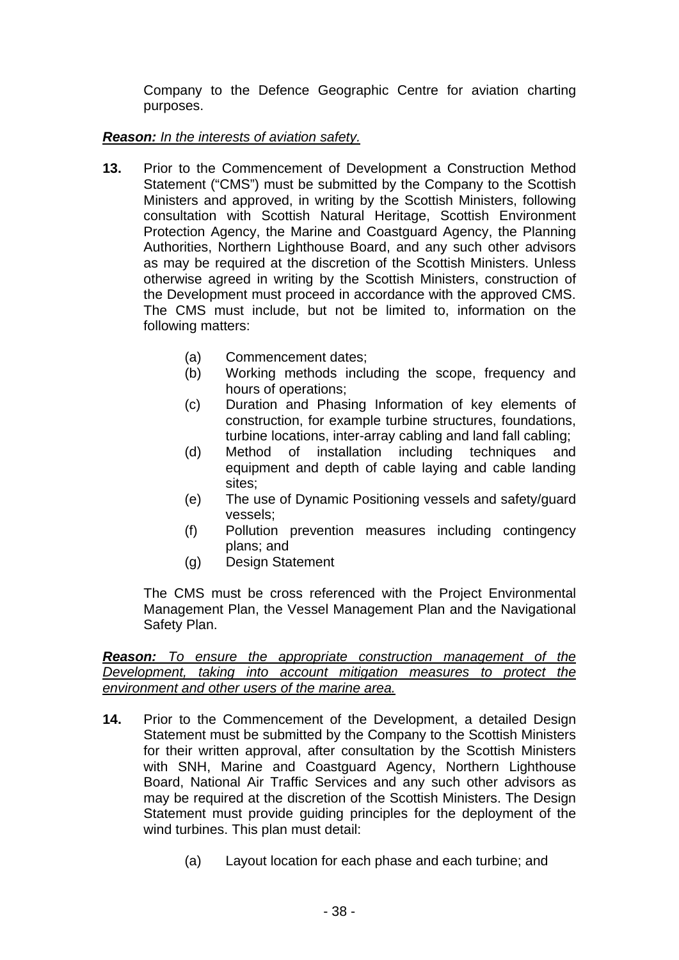Company to the Defence Geographic Centre for aviation charting purposes.

## *Reason: In the interests of aviation safety.*

- **13.** Prior to the Commencement of Development a Construction Method Statement ("CMS") must be submitted by the Company to the Scottish Ministers and approved, in writing by the Scottish Ministers, following consultation with Scottish Natural Heritage, Scottish Environment Protection Agency, the Marine and Coastguard Agency, the Planning Authorities, Northern Lighthouse Board, and any such other advisors as may be required at the discretion of the Scottish Ministers. Unless otherwise agreed in writing by the Scottish Ministers, construction of the Development must proceed in accordance with the approved CMS. The CMS must include, but not be limited to, information on the following matters:
	- (a) Commencement dates;
	- (b) Working methods including the scope, frequency and hours of operations;
	- (c) Duration and Phasing Information of key elements of construction, for example turbine structures, foundations, turbine locations, inter-array cabling and land fall cabling;
	- (d) Method of installation including techniques and equipment and depth of cable laying and cable landing sites;
	- (e) The use of Dynamic Positioning vessels and safety/guard vessels;
	- (f) Pollution prevention measures including contingency plans; and
	- (g) Design Statement

 The CMS must be cross referenced with the Project Environmental Management Plan, the Vessel Management Plan and the Navigational Safety Plan.

*Reason: To ensure the appropriate construction management of the Development, taking into account mitigation measures to protect the environment and other users of the marine area.*

- **14.** Prior to the Commencement of the Development, a detailed Design Statement must be submitted by the Company to the Scottish Ministers for their written approval, after consultation by the Scottish Ministers with SNH, Marine and Coastguard Agency, Northern Lighthouse Board, National Air Traffic Services and any such other advisors as may be required at the discretion of the Scottish Ministers. The Design Statement must provide guiding principles for the deployment of the wind turbines. This plan must detail:
	- (a) Layout location for each phase and each turbine; and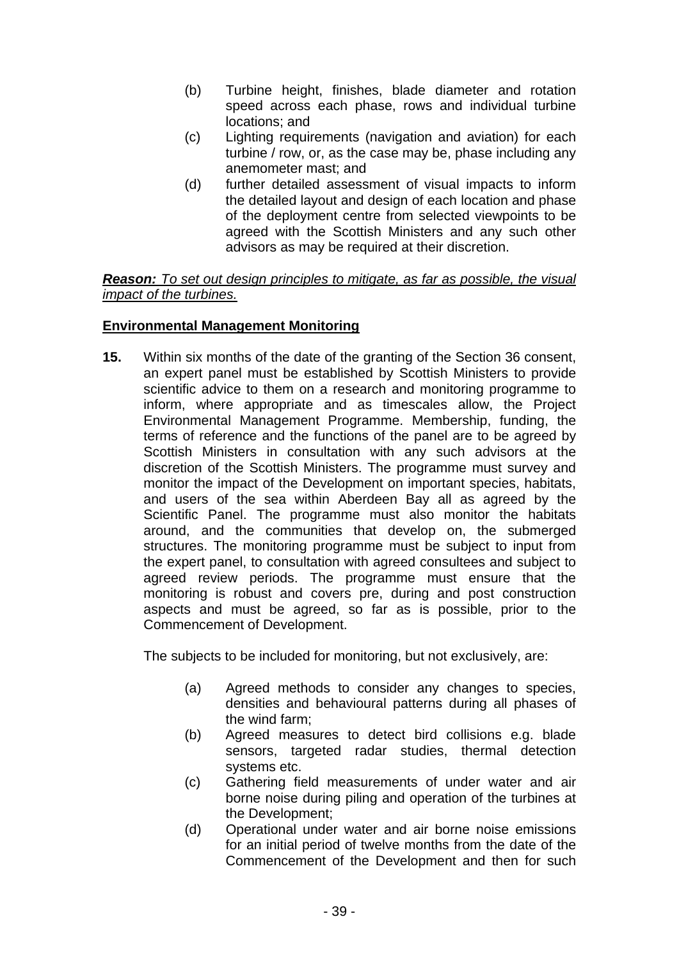- (b) Turbine height, finishes, blade diameter and rotation speed across each phase, rows and individual turbine locations; and
- (c) Lighting requirements (navigation and aviation) for each turbine / row, or, as the case may be, phase including any anemometer mast; and
- (d) further detailed assessment of visual impacts to inform the detailed layout and design of each location and phase of the deployment centre from selected viewpoints to be agreed with the Scottish Ministers and any such other advisors as may be required at their discretion.

*Reason: To set out design principles to mitigate, as far as possible, the visual impact of the turbines.*

## **Environmental Management Monitoring**

**15.** Within six months of the date of the granting of the Section 36 consent, an expert panel must be established by Scottish Ministers to provide scientific advice to them on a research and monitoring programme to inform, where appropriate and as timescales allow, the Project Environmental Management Programme. Membership, funding, the terms of reference and the functions of the panel are to be agreed by Scottish Ministers in consultation with any such advisors at the discretion of the Scottish Ministers. The programme must survey and monitor the impact of the Development on important species, habitats, and users of the sea within Aberdeen Bay all as agreed by the Scientific Panel. The programme must also monitor the habitats around, and the communities that develop on, the submerged structures. The monitoring programme must be subject to input from the expert panel, to consultation with agreed consultees and subject to agreed review periods. The programme must ensure that the monitoring is robust and covers pre, during and post construction aspects and must be agreed, so far as is possible, prior to the Commencement of Development.

The subjects to be included for monitoring, but not exclusively, are:

- (a) Agreed methods to consider any changes to species, densities and behavioural patterns during all phases of the wind farm;
- (b) Agreed measures to detect bird collisions e.g. blade sensors, targeted radar studies, thermal detection systems etc.
- (c) Gathering field measurements of under water and air borne noise during piling and operation of the turbines at the Development;
- (d) Operational under water and air borne noise emissions for an initial period of twelve months from the date of the Commencement of the Development and then for such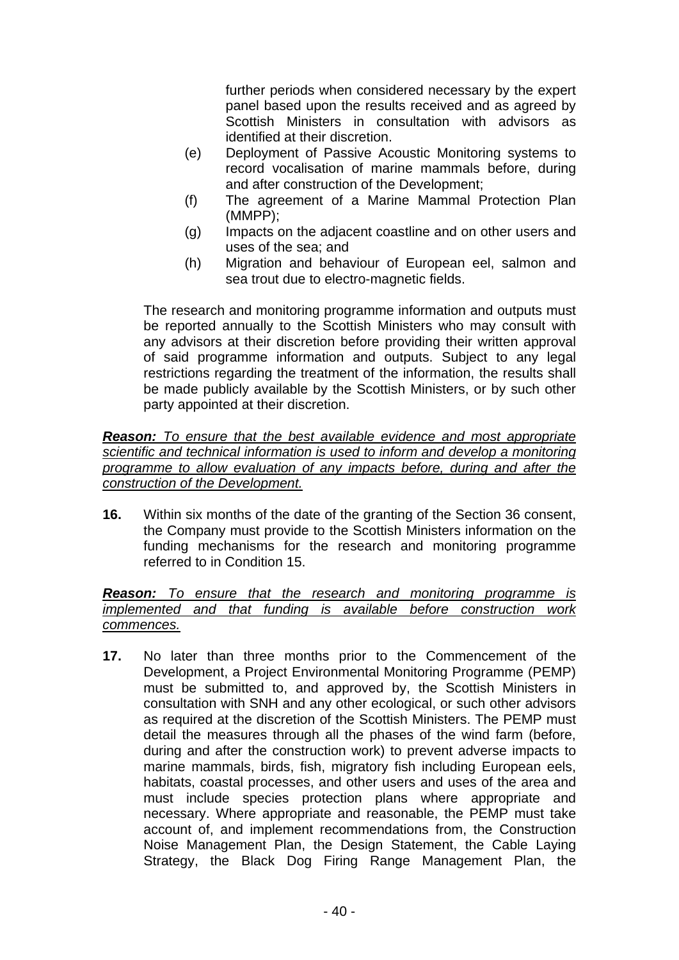further periods when considered necessary by the expert panel based upon the results received and as agreed by Scottish Ministers in consultation with advisors as identified at their discretion.

- (e) Deployment of Passive Acoustic Monitoring systems to record vocalisation of marine mammals before, during and after construction of the Development;
- (f) The agreement of a Marine Mammal Protection Plan (MMPP);
- (g) Impacts on the adjacent coastline and on other users and uses of the sea; and
- (h) Migration and behaviour of European eel, salmon and sea trout due to electro-magnetic fields.

The research and monitoring programme information and outputs must be reported annually to the Scottish Ministers who may consult with any advisors at their discretion before providing their written approval of said programme information and outputs. Subject to any legal restrictions regarding the treatment of the information, the results shall be made publicly available by the Scottish Ministers, or by such other party appointed at their discretion.

*Reason: To ensure that the best available evidence and most appropriate scientific and technical information is used to inform and develop a monitoring programme to allow evaluation of any impacts before, during and after the construction of the Development.*

**16.** Within six months of the date of the granting of the Section 36 consent, the Company must provide to the Scottish Ministers information on the funding mechanisms for the research and monitoring programme referred to in Condition 15.

## *Reason: To ensure that the research and monitoring programme is implemented and that funding is available before construction work commences.*

**17.** No later than three months prior to the Commencement of the Development, a Project Environmental Monitoring Programme (PEMP) must be submitted to, and approved by, the Scottish Ministers in consultation with SNH and any other ecological, or such other advisors as required at the discretion of the Scottish Ministers. The PEMP must detail the measures through all the phases of the wind farm (before, during and after the construction work) to prevent adverse impacts to marine mammals, birds, fish, migratory fish including European eels, habitats, coastal processes, and other users and uses of the area and must include species protection plans where appropriate and necessary. Where appropriate and reasonable, the PEMP must take account of, and implement recommendations from, the Construction Noise Management Plan, the Design Statement, the Cable Laying Strategy, the Black Dog Firing Range Management Plan, the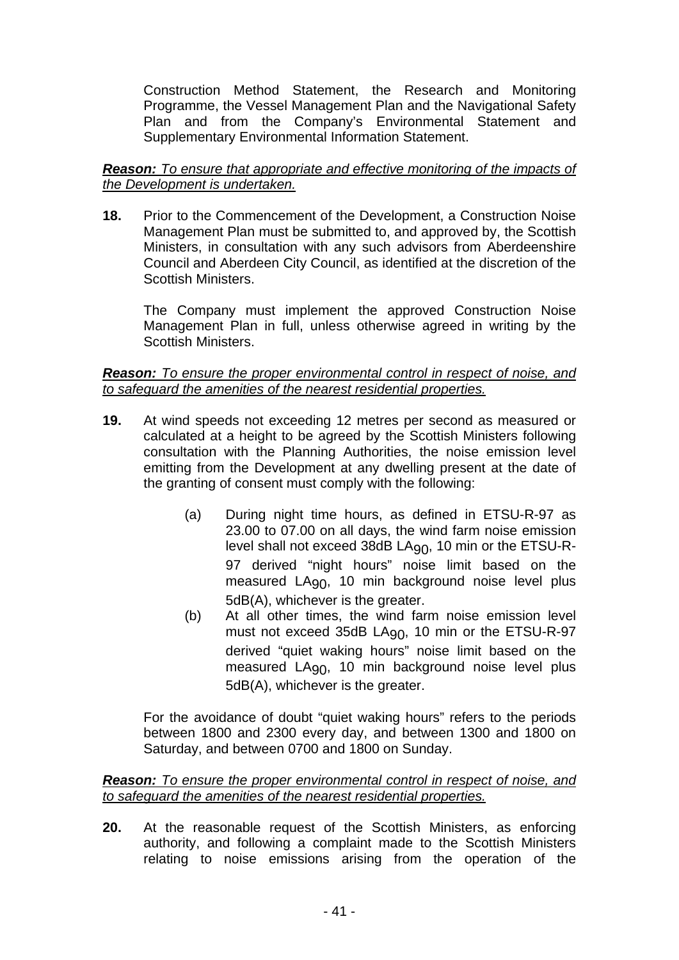Construction Method Statement, the Research and Monitoring Programme, the Vessel Management Plan and the Navigational Safety Plan and from the Company's Environmental Statement and Supplementary Environmental Information Statement.

## *Reason: To ensure that appropriate and effective monitoring of the impacts of the Development is undertaken.*

**18.** Prior to the Commencement of the Development, a Construction Noise Management Plan must be submitted to, and approved by, the Scottish Ministers, in consultation with any such advisors from Aberdeenshire Council and Aberdeen City Council, as identified at the discretion of the Scottish Ministers.

The Company must implement the approved Construction Noise Management Plan in full, unless otherwise agreed in writing by the Scottish Ministers.

## *Reason: To ensure the proper environmental control in respect of noise, and to safeguard the amenities of the nearest residential properties.*

- **19.** At wind speeds not exceeding 12 metres per second as measured or calculated at a height to be agreed by the Scottish Ministers following consultation with the Planning Authorities, the noise emission level emitting from the Development at any dwelling present at the date of the granting of consent must comply with the following:
	- (a) During night time hours, as defined in ETSU-R-97 as 23.00 to 07.00 on all days, the wind farm noise emission level shall not exceed 38dB LA90, 10 min or the ETSU-R-97 derived "night hours" noise limit based on the measured LA<sub>90</sub>, 10 min background noise level plus 5dB(A), whichever is the greater.
	- (b) At all other times, the wind farm noise emission level must not exceed 35dB LA90, 10 min or the ETSU-R-97 derived "quiet waking hours" noise limit based on the measured LA<sub>90</sub>, 10 min background noise level plus 5dB(A), whichever is the greater.

 For the avoidance of doubt "quiet waking hours" refers to the periods between 1800 and 2300 every day, and between 1300 and 1800 on Saturday, and between 0700 and 1800 on Sunday.

## *Reason: To ensure the proper environmental control in respect of noise, and to safeguard the amenities of the nearest residential properties.*

**20.** At the reasonable request of the Scottish Ministers, as enforcing authority, and following a complaint made to the Scottish Ministers relating to noise emissions arising from the operation of the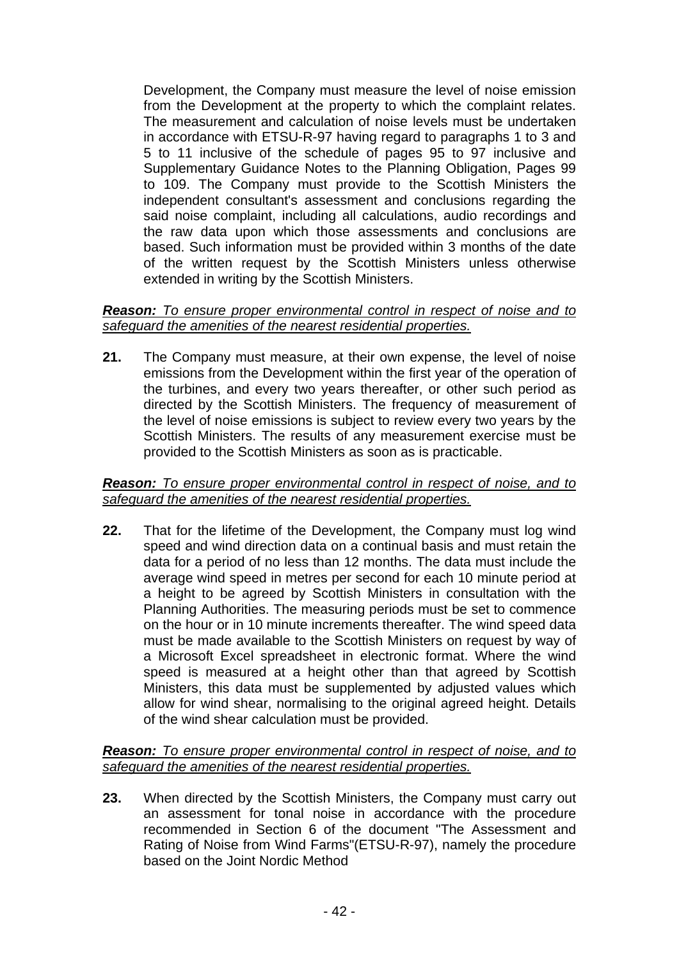Development, the Company must measure the level of noise emission from the Development at the property to which the complaint relates. The measurement and calculation of noise levels must be undertaken in accordance with ETSU-R-97 having regard to paragraphs 1 to 3 and 5 to 11 inclusive of the schedule of pages 95 to 97 inclusive and Supplementary Guidance Notes to the Planning Obligation, Pages 99 to 109. The Company must provide to the Scottish Ministers the independent consultant's assessment and conclusions regarding the said noise complaint, including all calculations, audio recordings and the raw data upon which those assessments and conclusions are based. Such information must be provided within 3 months of the date of the written request by the Scottish Ministers unless otherwise extended in writing by the Scottish Ministers.

#### *Reason: To ensure proper environmental control in respect of noise and to safeguard the amenities of the nearest residential properties.*

**21.** The Company must measure, at their own expense, the level of noise emissions from the Development within the first year of the operation of the turbines, and every two years thereafter, or other such period as directed by the Scottish Ministers. The frequency of measurement of the level of noise emissions is subject to review every two years by the Scottish Ministers. The results of any measurement exercise must be provided to the Scottish Ministers as soon as is practicable.

## *Reason: To ensure proper environmental control in respect of noise, and to safeguard the amenities of the nearest residential properties.*

**22.** That for the lifetime of the Development, the Company must log wind speed and wind direction data on a continual basis and must retain the data for a period of no less than 12 months. The data must include the average wind speed in metres per second for each 10 minute period at a height to be agreed by Scottish Ministers in consultation with the Planning Authorities. The measuring periods must be set to commence on the hour or in 10 minute increments thereafter. The wind speed data must be made available to the Scottish Ministers on request by way of a Microsoft Excel spreadsheet in electronic format. Where the wind speed is measured at a height other than that agreed by Scottish Ministers, this data must be supplemented by adjusted values which allow for wind shear, normalising to the original agreed height. Details of the wind shear calculation must be provided.

## *Reason: To ensure proper environmental control in respect of noise, and to safeguard the amenities of the nearest residential properties.*

**23.** When directed by the Scottish Ministers, the Company must carry out an assessment for tonal noise in accordance with the procedure recommended in Section 6 of the document "The Assessment and Rating of Noise from Wind Farms"(ETSU-R-97), namely the procedure based on the Joint Nordic Method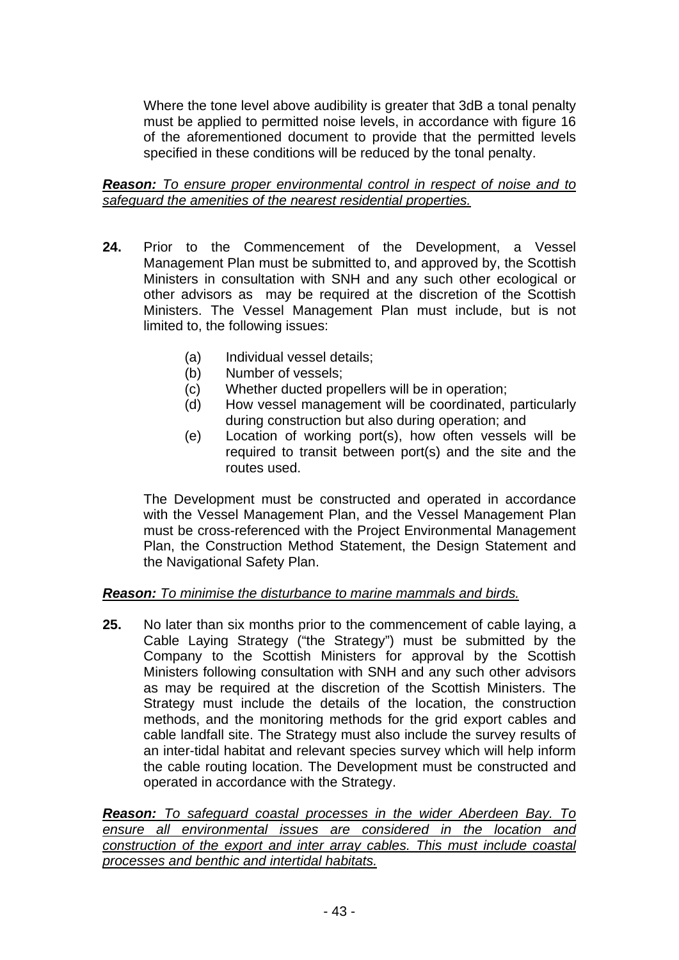Where the tone level above audibility is greater that 3dB a tonal penalty must be applied to permitted noise levels, in accordance with figure 16 of the aforementioned document to provide that the permitted levels specified in these conditions will be reduced by the tonal penalty.

## *Reason: To ensure proper environmental control in respect of noise and to safeguard the amenities of the nearest residential properties.*

- **24.** Prior to the Commencement of the Development, a Vessel Management Plan must be submitted to, and approved by, the Scottish Ministers in consultation with SNH and any such other ecological or other advisors as may be required at the discretion of the Scottish Ministers. The Vessel Management Plan must include, but is not limited to, the following issues:
	- (a) Individual vessel details;
	- (b) Number of vessels;
	- (c) Whether ducted propellers will be in operation;
	- (d) How vessel management will be coordinated, particularly during construction but also during operation; and
	- (e) Location of working port(s), how often vessels will be required to transit between port(s) and the site and the routes used.

The Development must be constructed and operated in accordance with the Vessel Management Plan, and the Vessel Management Plan must be cross-referenced with the Project Environmental Management Plan, the Construction Method Statement, the Design Statement and the Navigational Safety Plan.

# *Reason: To minimise the disturbance to marine mammals and birds.*

**25.** No later than six months prior to the commencement of cable laying, a Cable Laying Strategy ("the Strategy") must be submitted by the Company to the Scottish Ministers for approval by the Scottish Ministers following consultation with SNH and any such other advisors as may be required at the discretion of the Scottish Ministers. The Strategy must include the details of the location, the construction methods, and the monitoring methods for the grid export cables and cable landfall site. The Strategy must also include the survey results of an inter-tidal habitat and relevant species survey which will help inform the cable routing location. The Development must be constructed and operated in accordance with the Strategy.

*Reason: To safeguard coastal processes in the wider Aberdeen Bay. To ensure all environmental issues are considered in the location and construction of the export and inter array cables. This must include coastal processes and benthic and intertidal habitats.*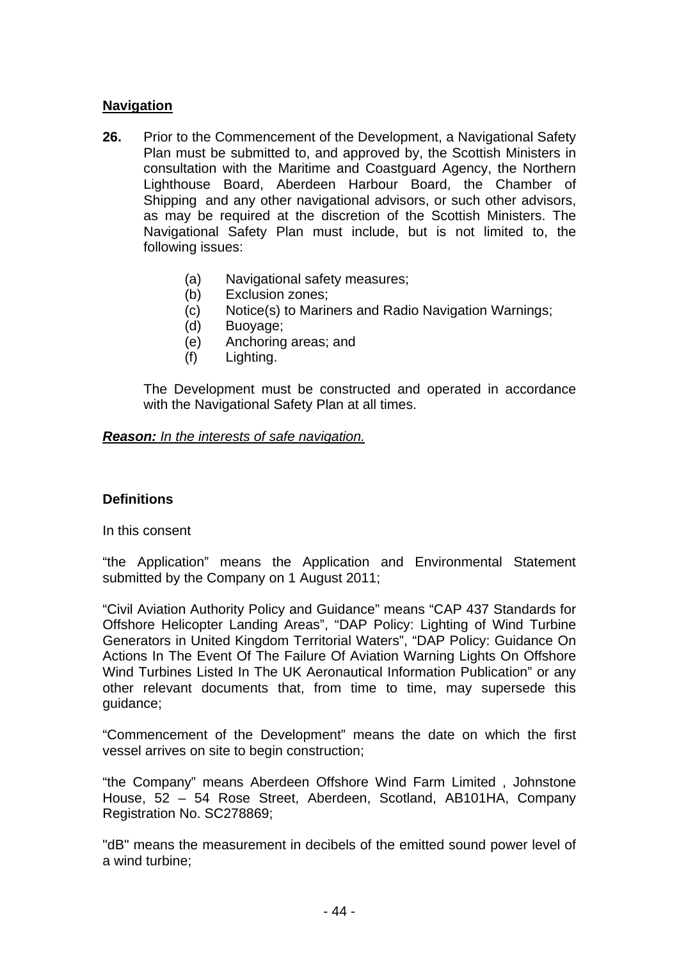## **Navigation**

- **26.** Prior to the Commencement of the Development, a Navigational Safety Plan must be submitted to, and approved by, the Scottish Ministers in consultation with the Maritime and Coastguard Agency, the Northern Lighthouse Board, Aberdeen Harbour Board, the Chamber of Shipping and any other navigational advisors, or such other advisors, as may be required at the discretion of the Scottish Ministers. The Navigational Safety Plan must include, but is not limited to, the following issues:
	- (a) Navigational safety measures;
	- (b) Exclusion zones;
	- (c) Notice(s) to Mariners and Radio Navigation Warnings;
	- (d) Buoyage;
	- (e) Anchoring areas; and
	- (f) Lighting.

The Development must be constructed and operated in accordance with the Navigational Safety Plan at all times.

#### *Reason: In the interests of safe navigation.*

## **Definitions**

In this consent

"the Application" means the Application and Environmental Statement submitted by the Company on 1 August 2011;

"Civil Aviation Authority Policy and Guidance" means "CAP 437 Standards for Offshore Helicopter Landing Areas", "DAP Policy: Lighting of Wind Turbine Generators in United Kingdom Territorial Waters", "DAP Policy: Guidance On Actions In The Event Of The Failure Of Aviation Warning Lights On Offshore Wind Turbines Listed In The UK Aeronautical Information Publication" or any other relevant documents that, from time to time, may supersede this guidance;

"Commencement of the Development" means the date on which the first vessel arrives on site to begin construction;

"the Company" means Aberdeen Offshore Wind Farm Limited , Johnstone House, 52 – 54 Rose Street, Aberdeen, Scotland, AB101HA, Company Registration No. SC278869;

"dB" means the measurement in decibels of the emitted sound power level of a wind turbine;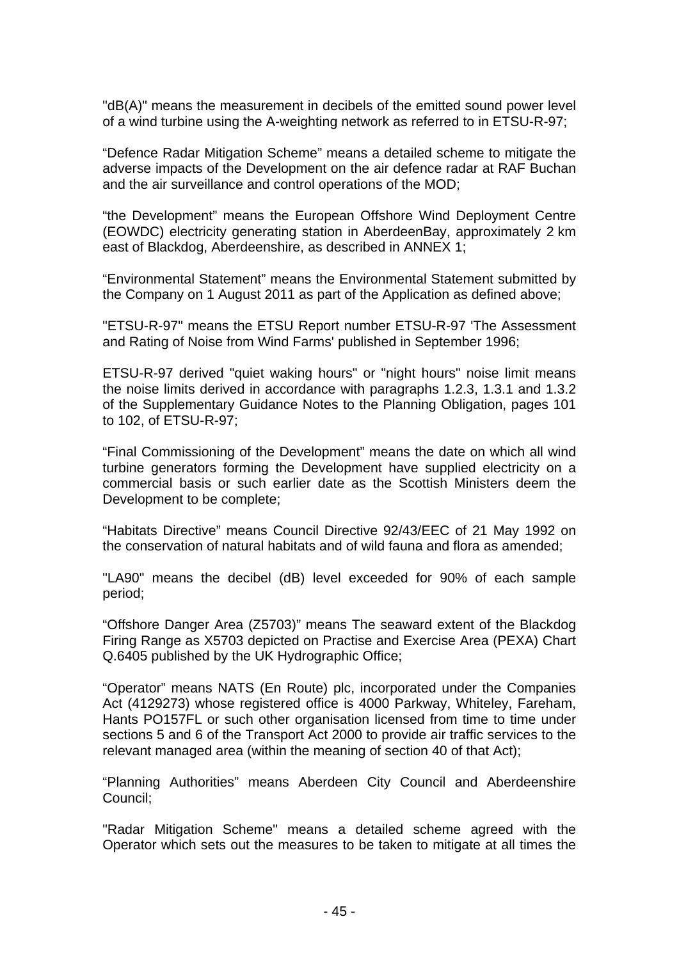"dB(A)" means the measurement in decibels of the emitted sound power level of a wind turbine using the A-weighting network as referred to in ETSU-R-97;

"Defence Radar Mitigation Scheme" means a detailed scheme to mitigate the adverse impacts of the Development on the air defence radar at RAF Buchan and the air surveillance and control operations of the MOD;

"the Development" means the European Offshore Wind Deployment Centre (EOWDC) electricity generating station in AberdeenBay, approximately 2 km east of Blackdog, Aberdeenshire, as described in ANNEX 1;

"Environmental Statement" means the Environmental Statement submitted by the Company on 1 August 2011 as part of the Application as defined above;

"ETSU-R-97" means the ETSU Report number ETSU-R-97 'The Assessment and Rating of Noise from Wind Farms' published in September 1996;

ETSU-R-97 derived "quiet waking hours" or "night hours" noise limit means the noise limits derived in accordance with paragraphs 1.2.3, 1.3.1 and 1.3.2 of the Supplementary Guidance Notes to the Planning Obligation, pages 101 to 102, of ETSU-R-97;

"Final Commissioning of the Development" means the date on which all wind turbine generators forming the Development have supplied electricity on a commercial basis or such earlier date as the Scottish Ministers deem the Development to be complete;

"Habitats Directive" means Council Directive 92/43/EEC of 21 May 1992 on the conservation of natural habitats and of wild fauna and flora as amended;

"LA90" means the decibel (dB) level exceeded for 90% of each sample period;

"Offshore Danger Area (Z5703)" means The seaward extent of the Blackdog Firing Range as X5703 depicted on Practise and Exercise Area (PEXA) Chart Q.6405 published by the UK Hydrographic Office;

"Operator" means NATS (En Route) plc, incorporated under the Companies Act (4129273) whose registered office is 4000 Parkway, Whiteley, Fareham, Hants PO157FL or such other organisation licensed from time to time under sections 5 and 6 of the Transport Act 2000 to provide air traffic services to the relevant managed area (within the meaning of section 40 of that Act);

"Planning Authorities" means Aberdeen City Council and Aberdeenshire Council;

"Radar Mitigation Scheme" means a detailed scheme agreed with the Operator which sets out the measures to be taken to mitigate at all times the